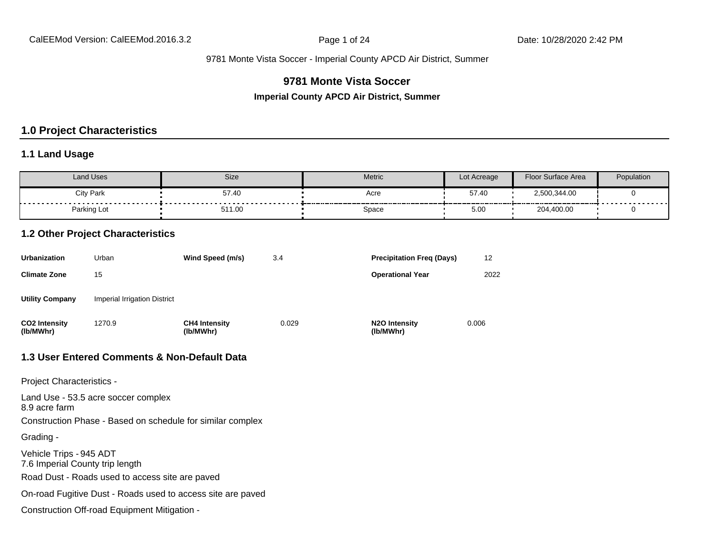### **9781 Monte Vista Soccer**

**Imperial County APCD Air District, Summer**

#### **1.0 Project Characteristics**

#### **1.1 Land Usage**

| Land Uses              | Size                        | <b>Metric</b> | Lot Acreage | Floor Surface Area | Population |
|------------------------|-----------------------------|---------------|-------------|--------------------|------------|
| City Park<br>--------- | 57.40                       | Acre          | 57.40       | 2,500,344.00       |            |
| Parking Lot            | - - - - - - - - -<br>511.00 | Space         | 5.00        | 204,400.00         | .          |

#### **1.2 Other Project Characteristics**

| <b>Urbanization</b>               | Urban                        | Wind Speed (m/s)                  | 3.4   | <b>Precipitation Freg (Days)</b>        | 12    |
|-----------------------------------|------------------------------|-----------------------------------|-------|-----------------------------------------|-------|
| <b>Climate Zone</b>               | 15                           |                                   |       | <b>Operational Year</b>                 | 2022  |
| <b>Utility Company</b>            | Imperial Irrigation District |                                   |       |                                         |       |
| <b>CO2 Intensity</b><br>(lb/MWhr) | 1270.9                       | <b>CH4 Intensity</b><br>(lb/MWhr) | 0.029 | N <sub>2</sub> O Intensity<br>(lb/MWhr) | 0.006 |

#### **1.3 User Entered Comments & Non-Default Data**

Project Characteristics -

Land Use - 53.5 acre soccer complex 8.9 acre farm Construction Phase - Based on schedule for similar complex Grading - Vehicle Trips - 945 ADT 7.6 Imperial County trip length Road Dust - Roads used to access site are paved On-road Fugitive Dust - Roads used to access site are paved Construction Off-road Equipment Mitigation -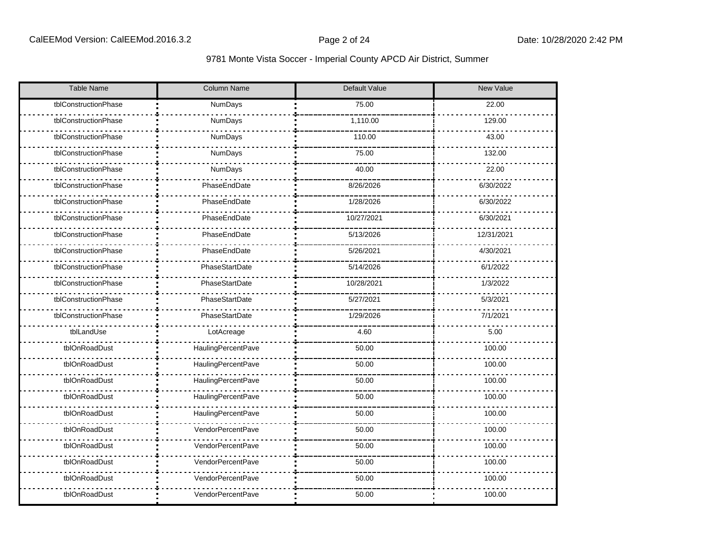| <b>Table Name</b>    | <b>Column Name</b> | Default Value | <b>New Value</b> |
|----------------------|--------------------|---------------|------------------|
| tblConstructionPhase | NumDays            | 75.00         | 22.00            |
| tblConstructionPhase | NumDays            | 1,110.00      | 129.00           |
| tblConstructionPhase | NumDays            | 110.00        | 43.00            |
| tblConstructionPhase | NumDays            | 75.00         | 132.00           |
| tblConstructionPhase | NumDays            | 40.00         | 22.00            |
| tblConstructionPhase | PhaseEndDate       | 8/26/2026     | 6/30/2022        |
| tblConstructionPhase | PhaseEndDate       | 1/28/2026     | 6/30/2022        |
| tblConstructionPhase | PhaseEndDate       | 10/27/2021    | 6/30/2021        |
| tblConstructionPhase | PhaseEndDate       | 5/13/2026     | 12/31/2021       |
| tblConstructionPhase | PhaseEndDate       | 5/26/2021     | 4/30/2021        |
| tblConstructionPhase | PhaseStartDate     | 5/14/2026     | 6/1/2022         |
| tblConstructionPhase | PhaseStartDate     | 10/28/2021    | 1/3/2022         |
| tblConstructionPhase | PhaseStartDate     | 5/27/2021     | 5/3/2021         |
| tblConstructionPhase | PhaseStartDate     | 1/29/2026     | 7/1/2021         |
| tblLandUse           | LotAcreage         | 4.60          | 5.00             |
| tblOnRoadDust        | HaulingPercentPave | 50.00         | 100.00           |
| tblOnRoadDust        | HaulingPercentPave | 50.00         | 100.00           |
| tblOnRoadDust        | HaulingPercentPave | 50.00         | 100.00           |
| tblOnRoadDust        | HaulingPercentPave | 50.00         | 100.00           |
| tblOnRoadDust        | HaulingPercentPave | 50.00         | 100.00           |
| tblOnRoadDust        | VendorPercentPave  | 50.00         | 100.00           |
| tblOnRoadDust        | VendorPercentPave  | 50.00         | 100.00           |
| tblOnRoadDust        | VendorPercentPave  | 50.00         | 100.00           |
| tblOnRoadDust        | VendorPercentPave  | 50.00         | 100.00           |
| tblOnRoadDust        | VendorPercentPave  | 50.00         | 100.00           |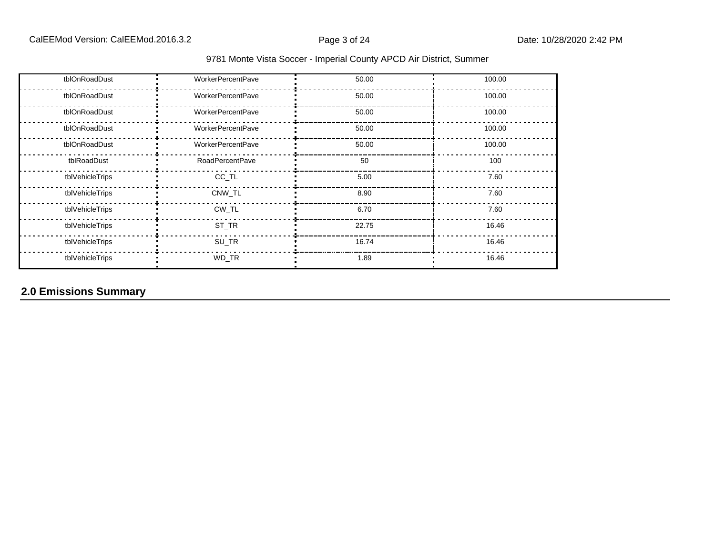| tblOnRoadDust   | <b>WorkerPercentPave</b> | 50.00 | 100.00 |
|-----------------|--------------------------|-------|--------|
| tblOnRoadDust   | <b>WorkerPercentPave</b> | 50.00 | 100.00 |
| tblOnRoadDust   | <b>WorkerPercentPave</b> | 50.00 | 100.00 |
| tblOnRoadDust   | <b>WorkerPercentPave</b> | 50.00 | 100.00 |
| tblOnRoadDust   | <b>WorkerPercentPave</b> | 50.00 | 100.00 |
| tblRoadDust     | <b>RoadPercentPave</b>   | 50    | 100    |
| tblVehicleTrips | CC_TL                    | 5.00  | 7.60   |
| tblVehicleTrips | CNW TL                   | 8.90  | 7.60   |
| tblVehicleTrips | CW_TL                    | 6.70  | 7.60   |
| tblVehicleTrips | ST_TR                    | 22.75 | 16.46  |
| tblVehicleTrips | SU_TR                    | 16.74 | 16.46  |
| tblVehicleTrips | WD_TR                    | 1.89  | 16.46  |

## **2.0 Emissions Summary**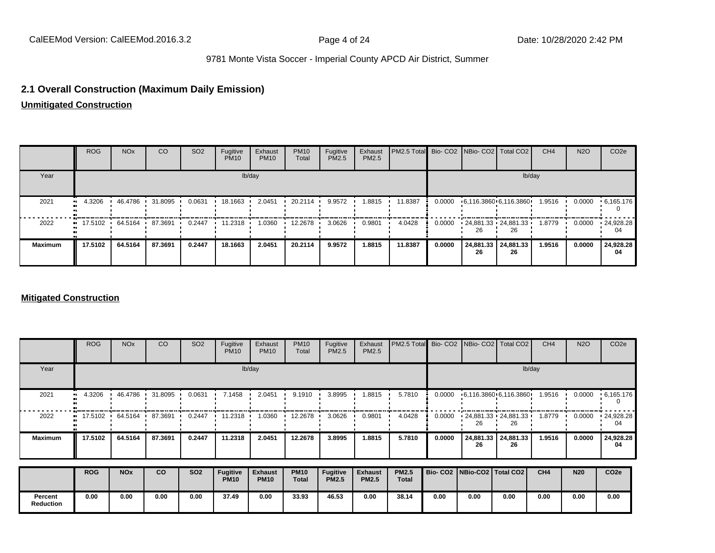#### **2.1 Overall Construction (Maximum Daily Emission)**

**Unmitigated Construction**

|                | <b>ROG</b>                | <b>NO<sub>x</sub></b> | <sub>CO</sub> | SO <sub>2</sub> | Fugitive<br><b>PM10</b> | Exhaust<br><b>PM10</b> | <b>PM10</b><br>Total | Fugitive<br>PM2.5 | Exhaust<br>PM2.5 | PM2.5 Total Bio- CO2 NBio- CO2 Total CO2 |        |                          |                           | CH <sub>4</sub> | <b>N2O</b> | CO <sub>2</sub> e |
|----------------|---------------------------|-----------------------|---------------|-----------------|-------------------------|------------------------|----------------------|-------------------|------------------|------------------------------------------|--------|--------------------------|---------------------------|-----------------|------------|-------------------|
| Year           |                           |                       |               |                 |                         | lb/day                 |                      |                   |                  |                                          |        |                          |                           | lb/day          |            |                   |
| 2021           | 4.3206                    | 46.4786               | 31.8095       | 0.0631          | 18.1663                 | 2.0451                 | 20.2114              | 9.9572            | 1.8815           | 11.8387                                  | 0.0000 | •6,116.3860•6,116.3860•  |                           | 1.9516          | 0.0000     | .6.165.176        |
| 2022           | $\bullet$ 17.5102 64.5164 |                       | 87.3691       | 0.2447          | 11.2318                 | 1.0360                 | 12.2678              | 3.0626            | 0.9801           | 4.0428                                   | 0.0000 | $-24,881.33 - 24,881.33$ | 26                        | 1.8779          | 0.0000     | .24,928.28<br>04  |
| <b>Maximum</b> | 17.5102                   | 64.5164               | 87.3691       | 0.2447          | 18.1663                 | 2.0451                 | 20.2114              | 9.9572            | 1.8815           | 11.8387                                  | 0.0000 | 26                       | 24,881.33 24,881.33<br>26 | 1.9516          | 0.0000     | 24,928.28<br>04   |

#### **Mitigated Construction**

|                             | <b>ROG</b> | <b>NO<sub>x</sub></b> | CO      | SO <sub>2</sub> | Fugitive<br><b>PM10</b> | Exhaust<br><b>PM10</b> | <b>PM10</b><br>Total | Fugitive<br>PM2.5 | Exhaust<br>PM2.5 | PM2.5 Total  |        | Bio- CO2   NBio- CO2   Total CO2 |                       | CH <sub>4</sub> | <b>N2O</b> | CO <sub>2e</sub>        |
|-----------------------------|------------|-----------------------|---------|-----------------|-------------------------|------------------------|----------------------|-------------------|------------------|--------------|--------|----------------------------------|-----------------------|-----------------|------------|-------------------------|
| Year                        |            | lb/day                |         |                 |                         |                        |                      |                   |                  |              | lb/day |                                  |                       |                 |            |                         |
| 2021                        | 4.3206     | 46.4786               | 31.8095 | 0.0631          | 7.1458                  | 2.0451                 | 9.1910               | 3.8995            | 1.8815           | 5.7810       | 0.0000 |                                  | 6,116.3860 6,116.3860 | 1.9516          | 0.0000     | .6,165.176<br>0         |
| 2022                        | 17.5102    | 64.5164 '             | 87.3691 | 0.2447          | 11.2318                 | 1.0360                 | 12.2678              | 3.0626            | 0.9801           | 4.0428       | 0.0000 | $-24,881.33 - 24,881.33$<br>26   | 26                    | 1.8779          | 0.0000     | $\cdot$ 24,928.28<br>04 |
| <b>Maximum</b>              | 17.5102    | 64.5164               | 87.3691 | 0.2447          | 11.2318                 | 2.0451                 | 12.2678              | 3.8995            | 1.8815           | 5.7810       | 0.0000 | 24,881.33<br>26                  | 24,881.33<br>26       | 1.9516          | 0.0000     | 24,928.28<br>04         |
|                             | <b>ROG</b> | <b>NO<sub>x</sub></b> | CO      | <b>SO2</b>      | <b>Fugitive</b>         | <b>Exhaust</b>         | <b>PM10</b>          | Fugitive          | <b>Exhaust</b>   | <b>PM2.5</b> |        | Bio- CO2   NBio-CO2   Total CO2  |                       | CH4             | <b>N20</b> | CO <sub>2e</sub>        |
|                             |            |                       |         |                 | <b>PM10</b>             | <b>PM10</b>            | <b>Total</b>         | <b>PM2.5</b>      | <b>PM2.5</b>     | <b>Total</b> |        |                                  |                       |                 |            |                         |
| Percent<br><b>Reduction</b> | 0.00       | 0.00                  | 0.00    | 0.00            | 37.49                   | 0.00                   | 33.93                | 46.53             | 0.00             | 38.14        | 0.00   | 0.00                             | 0.00                  | 0.00            | 0.00       | 0.00                    |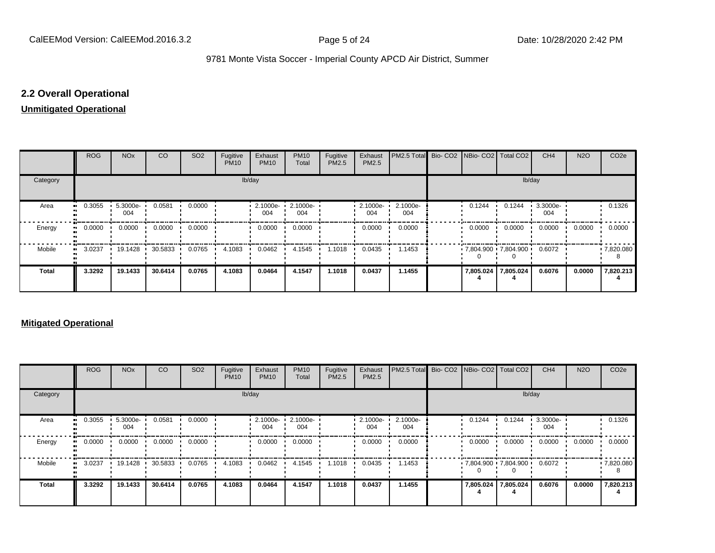## **2.2 Overall Operational**

#### **Unmitigated Operational**

|          | ROG        | <b>NO<sub>x</sub></b> | CO      | SO <sub>2</sub> | Fugitive<br><b>PM10</b> | Exhaust<br><b>PM10</b> | <b>PM10</b><br>Total | Fugitive<br>PM2.5 | Exhaust<br>PM2.5 | PM2.5 Total Bio- CO2 NBio- CO2   Total CO2 |  |        |                              | CH <sub>4</sub> | <b>N2O</b> | CO <sub>2e</sub> |
|----------|------------|-----------------------|---------|-----------------|-------------------------|------------------------|----------------------|-------------------|------------------|--------------------------------------------|--|--------|------------------------------|-----------------|------------|------------------|
| Category |            | lb/day                |         |                 |                         |                        |                      |                   |                  |                                            |  |        | lb/day                       |                 |            |                  |
| Area     | 0.3055<br> | 5.3000e-<br>004       | 0.0581  | 0.0000          |                         | 2.1000e-<br>004        | 2.1000e-<br>004      |                   | 2.1000e-<br>004  | 2.1000e-<br>004                            |  | 0.1244 | 0.1244                       | 3.3000e-<br>004 |            | 0.1326           |
| Energy   | 0.0000<br> | 0.0000                | 0.0000  | 0.0000          |                         | 0.0000                 | 0.0000               |                   | 0.0000           | 0.0000                                     |  | 0.0000 | 0.0000                       | 0.0000          | 0.0000     | 0.0000           |
| Mobile   | 3.0237<br> | 19.1428 •             | 30.5833 | 0.0765          | 4.1083                  | 0.0462                 | 4.1545               | 1.1018            | 0.0435           | 1.1453                                     |  |        | $.7,804.900 \cdot 7,804.900$ | 0.6072          |            | .7,820.080       |
| Total    | 3.3292     | 19.1433               | 30.6414 | 0.0765          | 4.1083                  | 0.0464                 | 4.1547               | 1.1018            | 0.0437           | 1.1455                                     |  |        | 7,805.024 7,805.024          | 0.6076          | 0.0000     | 7,820.213        |

#### **Mitigated Operational**

|              | <b>ROG</b> | <b>NO<sub>x</sub></b> | <b>CO</b> | SO <sub>2</sub> | Fugitive<br><b>PM10</b> | Exhaust<br><b>PM10</b> | <b>PM10</b><br>Total | Fugitive<br>PM2.5 | Exhaust<br>PM2.5 | <b>PM2.5 Total</b> Bio- CO2 NBio- CO2   Total CO2 |                     |                                             | CH <sub>4</sub> | <b>N2O</b> | CO <sub>2e</sub> |
|--------------|------------|-----------------------|-----------|-----------------|-------------------------|------------------------|----------------------|-------------------|------------------|---------------------------------------------------|---------------------|---------------------------------------------|-----------------|------------|------------------|
| Category     |            | lb/day                |           |                 |                         |                        |                      |                   |                  |                                                   |                     | lb/day                                      |                 |            |                  |
| Area         | 0.3055     | 5.3000e-<br>004       | 0.0581    | 0.0000          |                         | $2.1000e -$<br>004     | 2.1000e-<br>004      |                   | 2.1000e-<br>004  | 2.1000e-<br>004                                   | 0.1244              | 0.1244                                      | 3.3000e-<br>004 |            | 0.1326           |
| Energy       | 0.0000     | 0.0000                | 0.0000    | 0.0000          |                         | 0.0000                 | 0.0000               |                   | 0.0000           | 0.0000                                            | 0.0000              | 0.0000                                      | 0.0000          | 0.0000     | 0.0000           |
| Mobile       | 3.0237     | 19.1428               | 30.5833   | 0.0765          | 4.1083                  | 0.0462                 | 4.1545               | 1.1018            | 0.0435           | 1.1453                                            |                     | $\cdot$ 7,804.900 $\cdot$ 7,804.900 $\cdot$ | 0.6072          |            | .7,820.080       |
| <b>Total</b> | 3.3292     | 19.1433               | 30.6414   | 0.0765          | 4.1083                  | 0.0464                 | 4.1547               | 1.1018            | 0.0437           | 1.1455                                            | 7,805.024 7,805.024 |                                             | 0.6076          | 0.0000     | 7,820.213        |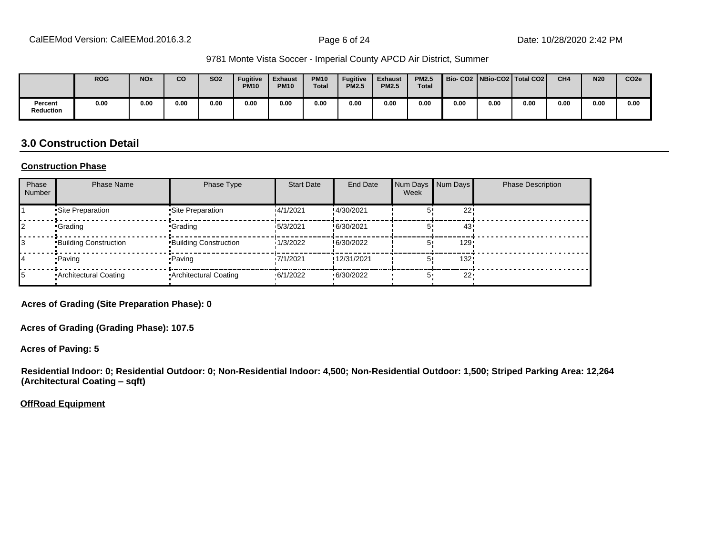|                             | <b>ROG</b> | <b>NO<sub>x</sub></b> | CO   | <b>SO2</b> | <b>Fugitive</b><br><b>PM10</b> | <b>Exhaust</b><br><b>PM10</b> | <b>PM10</b><br><b>Total</b> | <b>Fugitive</b><br><b>PM2.5</b> | <b>Exhaust</b><br><b>PM2.5</b> | <b>PM2.5</b><br><b>Total</b> |      |      | Bio- CO2   NBio-CO2   Total CO2 | CH <sub>4</sub> | <b>N20</b> | CO <sub>2e</sub> |
|-----------------------------|------------|-----------------------|------|------------|--------------------------------|-------------------------------|-----------------------------|---------------------------------|--------------------------------|------------------------------|------|------|---------------------------------|-----------------|------------|------------------|
| Percent<br><b>Reduction</b> | 0.00       | 0.00                  | 0.00 | 0.00       | 0.00                           | 0.00                          | 0.00                        | 0.00                            | 0.00                           | 0.00                         | 0.00 | 0.00 | 0.00                            | 0.00            | 0.00       | 0.00             |

### **3.0 Construction Detail**

#### **Construction Phase**

| Phase<br><b>Number</b> | <b>Phase Name</b>            | Phase Type                   | <b>Start Date</b> | <b>End Date</b> | Num Days<br>Week | Num Days | <b>Phase Description</b> |
|------------------------|------------------------------|------------------------------|-------------------|-----------------|------------------|----------|--------------------------|
|                        | Site Preparation             | •Site Preparation            | 14/1/2021         | !4/30/2021      |                  | 22!      |                          |
|                        | •Grading                     | •Grading                     | 15/3/2021         | !6/30/2021      |                  | 43       |                          |
|                        | <b>Building Construction</b> | <b>Building Construction</b> | 1/3/2022          | !6/30/2022      |                  | 129      |                          |
|                        | • Paving                     | • Paving                     | 17/1/2021         | !12/31/2021     |                  | 132!     |                          |
|                        | Architectural Coating        | • Architectural Coating      | .6/1/2022         | .6/30/2022      |                  | 22'      |                          |

**Acres of Grading (Site Preparation Phase): 0**

**Acres of Grading (Grading Phase): 107.5**

**Acres of Paving: 5**

**Residential Indoor: 0; Residential Outdoor: 0; Non-Residential Indoor: 4,500; Non-Residential Outdoor: 1,500; Striped Parking Area: 12,264 (Architectural Coating ±sqft)**

**OffRoad Equipment**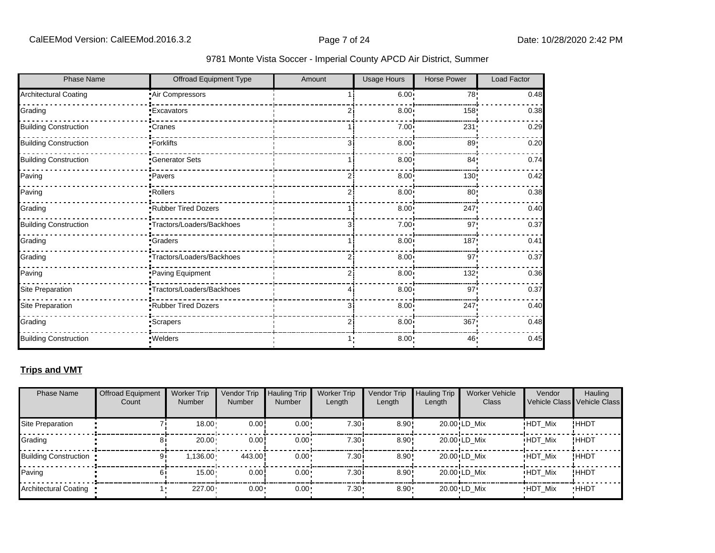| 9781 Monte Vista Soccer - Imperial County APCD Air District, Summer |  |  |  |
|---------------------------------------------------------------------|--|--|--|
|---------------------------------------------------------------------|--|--|--|

| <b>Phase Name</b>            | Offroad Equipment Type    | Amount | <b>Usage Hours</b> | <b>Horse Power</b> | Load Factor |
|------------------------------|---------------------------|--------|--------------------|--------------------|-------------|
| <b>Architectural Coating</b> | Air Compressors           |        | 6.00               | 78:                | 0.48        |
| Grading                      | <b>Excavators</b>         |        | 8.00 <sub>1</sub>  | 158                | 0.38        |
| <b>Building Construction</b> | Cranes                    |        | 7.00               | 231                | 0.29        |
| <b>Building Construction</b> | -Forklifts                | зi     | 8.00 <sub>1</sub>  | 89'                | 0.20        |
| <b>Building Construction</b> | Generator Sets            |        | $8.00$ !           | 84'                | 0.74        |
| Paving                       | ·Pavers                   |        | 8.00               | 130!               | 0.42        |
| Paving                       | ·Rollers                  |        | 8.00 <sub>1</sub>  | 80'                | 0.38        |
| Grading                      | Rubber Tired Dozers       |        | 8.00               | 247!               | 0.40        |
| <b>Building Construction</b> | Tractors/Loaders/Backhoes | 3      | 7.00               | 97                 | 0.37        |
| Grading                      | <b>Graders</b>            |        | 8.00               | 187                | 0.41        |
| Grading                      | Tractors/Loaders/Backhoes |        | 8.00               | 97                 | 0.37        |
| Paving                       | Paving Equipment          | 2      | 8.00 <sub>1</sub>  | 132!               | 0.36        |
| Site Preparation             | Tractors/Loaders/Backhoes |        | 8.00 <sub>1</sub>  | 97                 | 0.37        |
| Site Preparation             | Rubber Tired Dozers       | 3      | 8.00               | 247!               | 0.40        |
| Grading                      | Scrapers                  |        | 8.00               | 367                | 0.48        |
| <b>Building Construction</b> | :Welders                  |        | 8.00               | 46'                | 0.45        |

### **Trips and VMT**

| <b>Phase Name</b>       | <b>Offroad Equipment</b><br>Count | <b>Worker Trip</b><br><b>Number</b> | Vendor Trip<br><b>Number</b> | <b>Hauling Trip</b><br><b>Number</b> | <b>Worker Trip</b><br>Length | <b>Vendor Trip</b><br>Length | <b>Hauling Trip</b><br>Length | <b>Worker Vehicle</b><br>Class | Vendor         | Hauling<br>Vehicle Class Vehicle Class |
|-------------------------|-----------------------------------|-------------------------------------|------------------------------|--------------------------------------|------------------------------|------------------------------|-------------------------------|--------------------------------|----------------|----------------------------------------|
| Site Preparation        |                                   | $18.00 \cdot$                       | 0.00!                        | $0.00 \cdot$                         | 7.30i                        | 8.90!                        |                               | 20.00 LD Mix                   | <b>HDT Mix</b> | !HHDT                                  |
| Grading                 | 81                                | 20.00                               | 0.00!                        | $0.00 \cdot$                         | 7.30i                        | $8.90$ !                     |                               | 20.00 LD Mix                   | <b>HDT Mix</b> | !HHDT                                  |
| Building Construction . | 91                                | 1.136.00                            | 443.00                       | $0.00 \cdot$                         | 7.30i                        | $8.90$ !                     |                               | 20.00 LD Mix                   | <b>HDT Mix</b> | !HHDT                                  |
| Paving                  |                                   | $15.00 -$                           | 0.00!                        | $0.00 \cdot$                         | 7.30i                        | $8.90$ !                     |                               | 20.00 LD Mix                   | <b>HDT Mix</b> | !HHDT                                  |
| Architectural Coating   |                                   | $227.00 -$                          | $0.00 \cdot$                 | $0.00 \cdot$                         | 7.30 <sub>1</sub>            | $8.90 -$                     |                               | 20.00 LD Mix                   | <b>HDT Mix</b> | <b>HHDT</b>                            |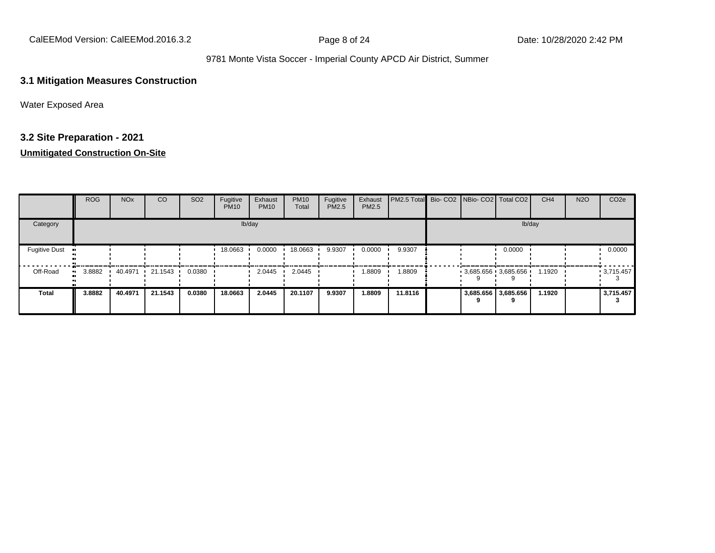CalEEMod Version: CalEEMod.2016.3.2 **Page 8 of 24** Page 8 of 24 Date: 10/28/2020 2:42 PM

#### 9781 Monte Vista Soccer - Imperial County APCD Air District, Summer

#### **3.1 Mitigation Measures Construction**

Water Exposed Area

## **3.2 Site Preparation - 2021**

|                      | ROG    | <b>NO<sub>x</sub></b> | CO                      | SO <sub>2</sub> | Fugitive<br><b>PM10</b> | Exhaust<br><b>PM10</b> | <b>PM10</b><br>Total | Fugitive<br>PM2.5 | Exhaust<br><b>PM2.5</b> | PM2.5 Total Bio- CO2 NBio- CO2   Total CO2 |  |                       | CH <sub>4</sub> | <b>N2O</b> | CO <sub>2e</sub> |
|----------------------|--------|-----------------------|-------------------------|-----------------|-------------------------|------------------------|----------------------|-------------------|-------------------------|--------------------------------------------|--|-----------------------|-----------------|------------|------------------|
| Category             |        |                       |                         |                 |                         | lb/day                 |                      |                   |                         |                                            |  | lb/day                |                 |            |                  |
| <b>Fugitive Dust</b> |        |                       |                         |                 | 18.0663                 | 0.0000                 | 18.0663              | 9.9307            | 0.0000                  | 9.9307                                     |  | 0.0000                |                 |            | 0.0000           |
| Off-Road             | 3.8882 | 40.4971               | $\cdot$ 21.1543 $\cdot$ | 0.0380          |                         | 2.0445                 | 2.0445               |                   | 1.8809                  | 1.8809                                     |  | $3,685.656$ 3,685.656 | 1.1920          |            | $-3,715.457$     |
| <b>Total</b>         | 3.8882 | 40.4971               | 21.1543                 | 0.0380          | 18.0663                 | 2.0445                 | 20.1107              | 9.9307            | 1.8809                  | 11.8116                                    |  | 3,685.656 3,685.656   | 1.1920          |            | 3,715.457        |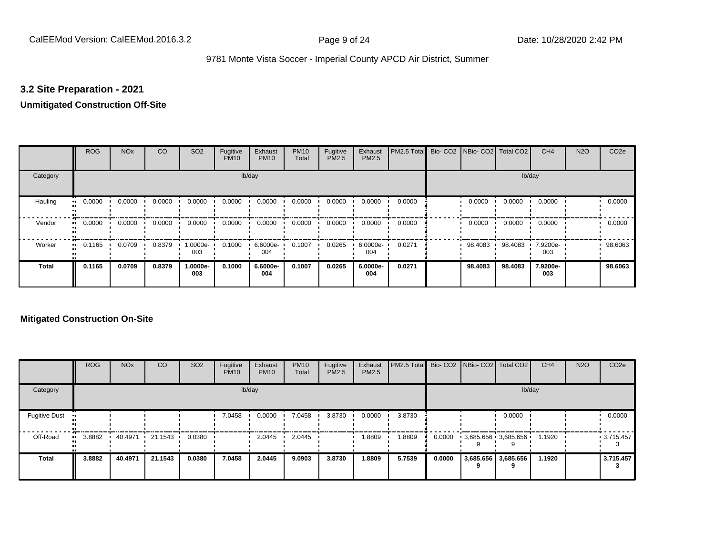#### **3.2 Site Preparation - 2021**

#### **Unmitigated Construction Off-Site**

|                      | <b>ROG</b> | <b>NO<sub>x</sub></b> | CO     | SO <sub>2</sub> | Fugitive<br><b>PM10</b> | Exhaust<br><b>PM10</b> | <b>PM10</b><br>Total | Fugitive<br>PM2.5 | Exhaust<br>PM2.5 | PM2.5 Total | Bio- CO2 NBio- CO2 Total CO2 |         | CH <sub>4</sub> | <b>N2O</b> | CO <sub>2e</sub> |
|----------------------|------------|-----------------------|--------|-----------------|-------------------------|------------------------|----------------------|-------------------|------------------|-------------|------------------------------|---------|-----------------|------------|------------------|
| Category             |            |                       |        |                 |                         | lb/day                 |                      |                   |                  |             |                              | lb/day  |                 |            |                  |
| Hauling<br>$\bullet$ | 0.0000     | 0.0000                | 0.0000 | 0.0000          | 0.0000                  | 0.0000                 | 0.0000               | 0.0000            | 0.0000           | 0.0000      | 0.0000                       | 0.0000  | 0.0000          |            | 0.0000           |
| Vendor<br>$\bullet$  | 0.0000     | 0.0000                | 0.0000 | 0.0000          | 0.0000                  | 0.0000                 | 0.0000               | 0.0000            | 0.0000           | 0.0000      | 0.0000                       | 0.0000  | 0.0000          |            | 0.0000           |
| Worker<br>$\bullet$  | 0.1165     | 0.0709                | 0.8379 | 1.0000e-<br>003 | 0.1000                  | 6.6000e-<br>004        | 0.1007               | 0.0265            | 6.0000e-<br>004  | 0.0271      | 98.4083                      | 98.4083 | 7.9200e-<br>003 |            | 98.6063          |
| <b>Total</b>         | 0.1165     | 0.0709                | 0.8379 | 1.0000e-<br>003 | 0.1000                  | 6.6000e-<br>004        | 0.1007               | 0.0265            | 6.0000e-<br>004  | 0.0271      | 98.4083                      | 98.4083 | 7.9200e-<br>003 |            | 98.6063          |

|                      | <b>ROG</b> | <b>NO<sub>x</sub></b> | CO      | SO <sub>2</sub> | Fugitive<br><b>PM10</b> | Exhaust<br><b>PM10</b> | <b>PM10</b><br>Total | Fugitive<br><b>PM2.5</b> | Exhaust<br>PM2.5 | PM2.5 Total Bio- CO2 NBio- CO2 Total CO2 |        |                       | CH <sub>4</sub> | <b>N2O</b> | CO <sub>2e</sub> |
|----------------------|------------|-----------------------|---------|-----------------|-------------------------|------------------------|----------------------|--------------------------|------------------|------------------------------------------|--------|-----------------------|-----------------|------------|------------------|
| Category             |            |                       |         |                 |                         | lb/day                 |                      |                          |                  |                                          |        | lb/day                |                 |            |                  |
| <b>Fugitive Dust</b> |            |                       |         |                 | 7.0458                  | 0.0000                 | 7.0458               | 3.8730                   | 0.0000           | 3.8730                                   |        | 0.0000                |                 |            | 0.0000           |
| Off-Road             | 3.8882     | 40.4971               | 21.1543 | 0.0380          |                         | 2.0445                 | 2.0445               |                          | 1.8809           | 1.8809                                   | 0.0000 | $3,685.656$ 3,685.656 | 1.1920          |            | .3715.457        |
| <b>Total</b>         | 3.8882     | 40.4971               | 21.1543 | 0.0380          | 7.0458                  | 2.0445                 | 9.0903               | 3.8730                   | 1.8809           | 5.7539                                   | 0.0000 | 3,685.656 3,685.656   | 1.1920          |            | 3,715.457        |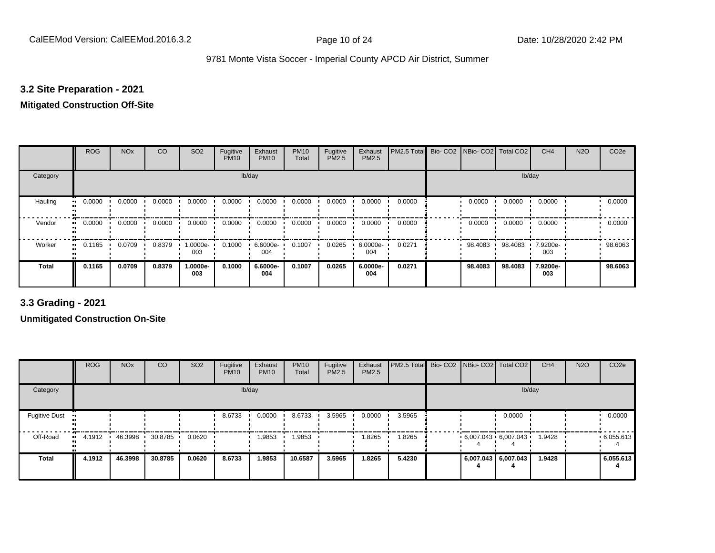#### **3.2 Site Preparation - 2021**

## **Mitigated Construction Off-Site**

|                            | <b>ROG</b> | <b>NO<sub>x</sub></b> | CO     | SO <sub>2</sub> | Fugitive<br><b>PM10</b> | Exhaust<br><b>PM10</b> | <b>PM10</b><br>Total | Fugitive<br>PM2.5 | Exhaust<br>PM2.5 | PM2.5 Total | Bio- CO2   NBio- CO2   Total CO2 |         | CH <sub>4</sub> | <b>N2O</b> | CO <sub>2e</sub> |
|----------------------------|------------|-----------------------|--------|-----------------|-------------------------|------------------------|----------------------|-------------------|------------------|-------------|----------------------------------|---------|-----------------|------------|------------------|
| Category                   |            |                       |        |                 |                         | lb/day                 |                      |                   |                  |             |                                  | lb/day  |                 |            |                  |
| Hauling<br>$\bullet$       | 0.0000     | 0.0000                | 0.0000 | 0.0000          | 0.0000                  | 0.0000                 | 0.0000               | 0.0000            | 0.0000           | 0.0000      | 0.0000                           | 0.0000  | 0.0000          |            | 0.0000           |
| Vendor<br>$\bullet\bullet$ | 0.0000     | 0.0000                | 0.0000 | 0.0000          | 0.0000                  | 0.0000                 | 0.0000               | 0.0000            | 0.0000           | 0.0000      | 0.0000                           | 0.0000  | 0.0000          |            | 0.0000           |
| Worker<br>$\bullet\bullet$ | 0.1165     | 0.0709                | 0.8379 | 1.0000e-<br>003 | 0.1000                  | 6.6000e-<br>004        | 0.1007               | 0.0265            | 6.0000e-<br>004  | 0.0271      | 98.4083                          | 98.4083 | 7.9200e-<br>003 |            | 98.6063          |
| <b>Total</b>               | 0.1165     | 0.0709                | 0.8379 | 1.0000e-<br>003 | 0.1000                  | 6.6000e-<br>004        | 0.1007               | 0.0265            | 6.0000e-<br>004  | 0.0271      | 98.4083                          | 98.4083 | 7.9200e-<br>003 |            | 98.6063          |

**3.3 Grading - 2021**

|                      | <b>ROG</b>             | <b>NO<sub>x</sub></b> | CO      | SO <sub>2</sub> | Fugitive<br><b>PM10</b> | Exhaust<br><b>PM10</b> | <b>PM10</b><br>Total | Fugitive<br><b>PM2.5</b> | Exhaust<br>PM2.5 | PM2.5 Total Bio- CO2 NBio- CO2 Total CO2 |  |                                          | CH <sub>4</sub> | <b>N2O</b> | CO <sub>2e</sub> |
|----------------------|------------------------|-----------------------|---------|-----------------|-------------------------|------------------------|----------------------|--------------------------|------------------|------------------------------------------|--|------------------------------------------|-----------------|------------|------------------|
| Category             |                        |                       |         |                 |                         | lb/day                 |                      |                          |                  |                                          |  | lb/day                                   |                 |            |                  |
| <b>Fugitive Dust</b> |                        |                       |         |                 | 8.6733                  | 0.0000                 | 8.6733               | 3.5965                   | 0.0000           | 3.5965                                   |  | 0.0000                                   |                 |            | 0.0000           |
| Off-Road             | 4.1912<br><b>COLLE</b> | 46.3998               | 30.8785 | 0.0620          |                         | 1.9853                 | .9853                |                          | 1.8265           | 1.8265                                   |  | $6,007.043 \cdot 6,007.043 \cdot 1.9428$ |                 |            | .6055.613        |
| <b>Total</b>         | 4.1912                 | 46.3998               | 30.8785 | 0.0620          | 8.6733                  | 1.9853                 | 10.6587              | 3.5965                   | 1.8265           | 5.4230                                   |  | 6,007.043 6,007.043                      | 1.9428          |            | 6,055.613        |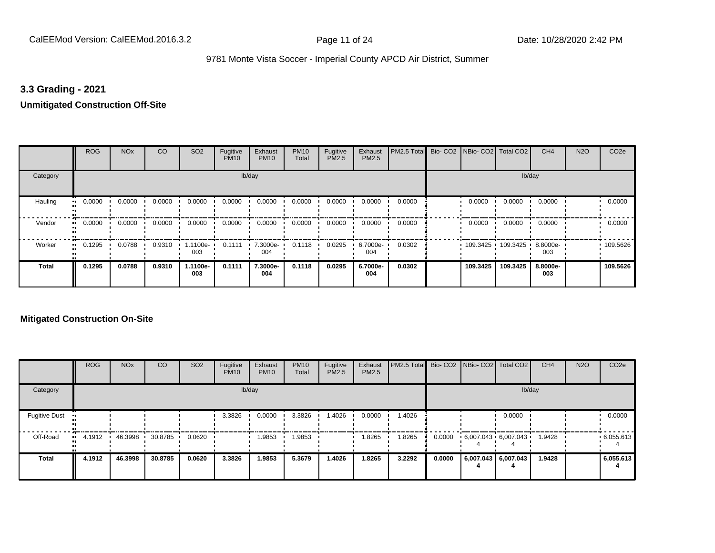#### **3.3 Grading - 2021**

#### **Unmitigated Construction Off-Site**

|                      | <b>ROG</b>                 | <b>NO<sub>x</sub></b> | CO     | SO <sub>2</sub> | Fugitive<br><b>PM10</b> | Exhaust<br><b>PM10</b> | <b>PM10</b><br>Total | Fugitive<br>PM2.5 | Exhaust<br>PM2.5 | PM2.5 Total Bio- CO2 NBio- CO2 Total CO2 |          |          | CH <sub>4</sub> | <b>N2O</b> | CO <sub>2e</sub> |
|----------------------|----------------------------|-----------------------|--------|-----------------|-------------------------|------------------------|----------------------|-------------------|------------------|------------------------------------------|----------|----------|-----------------|------------|------------------|
| Category             |                            |                       |        |                 |                         | lb/day                 |                      |                   |                  |                                          |          |          | lb/day          |            |                  |
| Hauling<br>$\bullet$ | 0.0000                     | 0.0000                | 0.0000 | 0.0000          | 0.0000                  | 0.0000                 | 0.0000               | 0.0000            | 0.0000           | 0.0000                                   | 0.0000   | 0.0000   | 0.0000          |            | 0.0000           |
| Vendor               | 0.0000<br>$\bullet\bullet$ | 0.0000                | 0.0000 | 0.0000          | 0.0000                  | 0.0000                 | 0.0000               | 0.0000            | 0.0000           | 0.0000                                   | 0.0000   | 0.0000   | 0.0000          |            | 0.0000           |
| Worker               | 0.1295<br>$\bullet$        | 0.0788                | 0.9310 | 1.1100e-<br>003 | 0.1111                  | 7.3000e-<br>004        | 0.1118               | 0.0295            | 6.7000e-<br>004  | 0.0302                                   | 109.3425 | 109.3425 | 8.8000e-<br>003 |            | .109.5626        |
| <b>Total</b>         | 0.1295                     | 0.0788                | 0.9310 | 1.1100e-<br>003 | 0.1111                  | 7.3000e-<br>004        | 0.1118               | 0.0295            | 6.7000e-<br>004  | 0.0302                                   | 109.3425 | 109.3425 | 8.8000e-<br>003 |            | 109.5626         |

|                      | <b>ROG</b> | <b>NO<sub>x</sub></b> | <b>CO</b> | SO <sub>2</sub> | Fugitive<br><b>PM10</b> | Exhaust<br><b>PM10</b> | <b>PM10</b><br>Total | Fugitive<br><b>PM2.5</b> | Exhaust<br><b>PM2.5</b> | <b>PM2.5 Total</b> Bio- CO2 NBio- CO2 Total CO2 |        |                             |                     | CH <sub>4</sub> | <b>N2O</b> | CO <sub>2e</sub> |
|----------------------|------------|-----------------------|-----------|-----------------|-------------------------|------------------------|----------------------|--------------------------|-------------------------|-------------------------------------------------|--------|-----------------------------|---------------------|-----------------|------------|------------------|
| Category             |            |                       |           |                 |                         | lb/day                 |                      |                          |                         |                                                 |        |                             | lb/day              |                 |            |                  |
| <b>Fugitive Dust</b> |            |                       |           |                 | 3.3826                  | 0.0000                 | 3.3826               | 1.4026                   | 0.0000                  | 1.4026                                          |        |                             | 0.0000              |                 |            | 0.0000           |
| Off-Road             | 4.1912<br> | 46.3998               | 30.8785   | 0.0620          |                         | 1.9853                 | 1.9853               |                          | 1.8265                  | 1.8265                                          | 0.0000 | $6,007.043 \cdot 6,007.043$ |                     | 1.9428          |            | .6,055.613       |
| Total                | 4.1912     | 46.3998               | 30.8785   | 0.0620          | 3.3826                  | 1.9853                 | 5.3679               | 1.4026                   | 1.8265                  | 3.2292                                          | 0.0000 |                             | 6,007.043 6,007.043 | 1.9428          |            | 6,055.613        |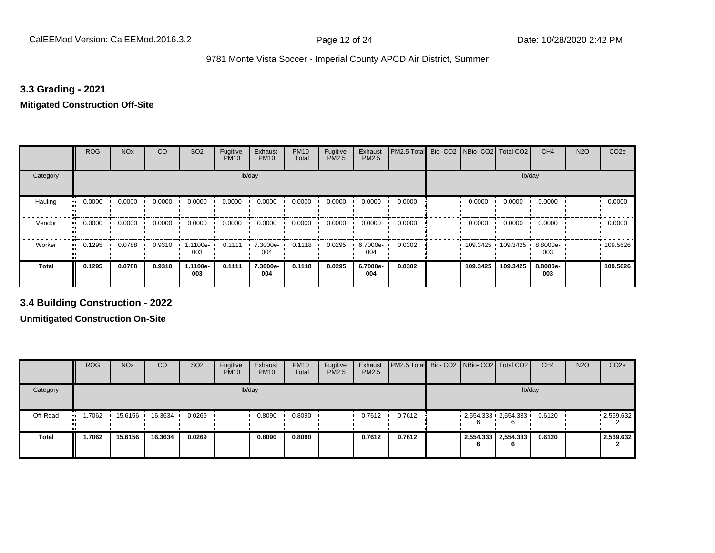#### **3.3 Grading - 2021**

## **Mitigated Construction Off-Site**

|                     | <b>ROG</b> | <b>NO<sub>x</sub></b> | CO     | SO <sub>2</sub> | Fugitive<br><b>PM10</b> | Exhaust<br><b>PM10</b> | <b>PM10</b><br>Total | Fugitive<br>PM2.5 | Exhaust<br>PM2.5 | PM2.5 Total | Bio- CO2   NBio- CO2   Total CO2 |          | CH <sub>4</sub> | <b>N2O</b> | CO <sub>2e</sub> |
|---------------------|------------|-----------------------|--------|-----------------|-------------------------|------------------------|----------------------|-------------------|------------------|-------------|----------------------------------|----------|-----------------|------------|------------------|
| Category            |            |                       |        |                 | lb/day                  |                        |                      |                   |                  |             |                                  | lb/day   |                 |            |                  |
| Hauling             | 0.0000     | 0.0000                | 0.0000 | 0.0000          | 0.0000                  | 0.0000                 | 0.0000               | 0.0000            | 0.0000           | 0.0000      | 0.0000                           | 0.0000   | 0.0000          |            | 0.0000           |
| Vendor<br>$\bullet$ | 0.0000     | 0.0000                | 0.0000 | 0.0000          | 0.0000                  | 0.0000                 | 0.0000               | 0.0000            | 0.0000           | 0.0000      | 0.0000                           | 0.0000   | 0.0000          |            | 0.0000           |
| Worker<br>$\bullet$ | 0.1295     | 0.0788                | 0.9310 | 1.1100e-<br>003 | 0.1111                  | 7.3000e-<br>004        | 0.1118               | 0.0295            | 6.7000e-<br>004  | 0.0302      | 109.3425 109.3425                |          | 8.8000e-<br>003 |            | .109.5626        |
| <b>Total</b>        | 0.1295     | 0.0788                | 0.9310 | 1.1100e-<br>003 | 0.1111                  | 7.3000e-<br>004        | 0.1118               | 0.0295            | 6.7000e-<br>004  | 0.0302      | 109.3425                         | 109.3425 | 8.8000e-<br>003 |            | 109.5626         |

**3.4 Building Construction - 2022**

|              | <b>ROG</b>          | <b>NO<sub>x</sub></b> | CO                | SO <sub>2</sub> | Fugitive<br><b>PM10</b> | Exhaust<br><b>PM10</b> | <b>PM10</b><br>Total | Fugitive<br><b>PM2.5</b> | Exhaust<br><b>PM2.5</b> | <b>PM2.5 Total</b> Bio- CO2 NBio- CO2   Total CO2 |  |                                      | CH <sub>4</sub> | <b>N2O</b> | CO <sub>2e</sub> |
|--------------|---------------------|-----------------------|-------------------|-----------------|-------------------------|------------------------|----------------------|--------------------------|-------------------------|---------------------------------------------------|--|--------------------------------------|-----------------|------------|------------------|
| Category     |                     |                       |                   |                 |                         | lb/day                 |                      |                          |                         |                                                   |  | lb/day                               |                 |            |                  |
| Off-Road     | 1.7062<br>$\bullet$ |                       | 15.6156 16.3634 ' | 0.0269          |                         | 0.8090                 | 0.8090               |                          | 0.7612                  | 0.7612                                            |  | $2,554.333$ $2,554.333$ $\cdot$<br>6 | 0.6120          |            | $-2,569.632$     |
| <b>Total</b> | 1.7062              | 15.6156               | 16.3634           | 0.0269          |                         | 0.8090                 | 0.8090               |                          | 0.7612                  | 0.7612                                            |  | 2,554.333 2,554.333<br>6             | 0.6120          |            | 2,569.632        |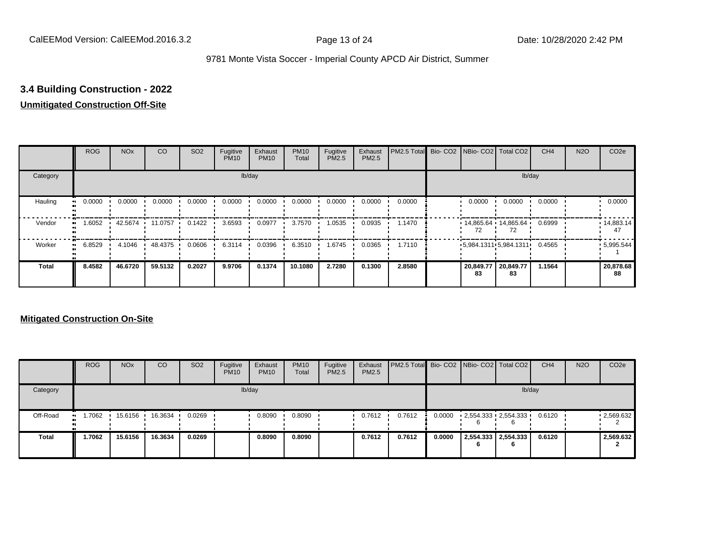## **3.4 Building Construction - 2022**

### **Unmitigated Construction Off-Site**

|                          | <b>ROG</b>          | <b>NO<sub>x</sub></b> | CO        | SO <sub>2</sub> | Fugitive<br><b>PM10</b> | Exhaust<br><b>PM10</b> | <b>PM10</b><br>Total | Fugitive<br><b>PM2.5</b> | Exhaust<br>PM2.5 | PM2.5 Total Bio- CO2 NBio- CO2 Total CO2 |                 |                             | CH <sub>4</sub> | <b>N2O</b> | CO <sub>2e</sub>        |
|--------------------------|---------------------|-----------------------|-----------|-----------------|-------------------------|------------------------|----------------------|--------------------------|------------------|------------------------------------------|-----------------|-----------------------------|-----------------|------------|-------------------------|
| Category                 |                     |                       |           |                 |                         | lb/day                 |                      |                          |                  |                                          |                 |                             | lb/day          |            |                         |
| Hauling<br>$\bullet$     | 0.0000              | 0.0000                | 0.0000    | 0.0000          | 0.0000                  | 0.0000                 | 0.0000               | 0.0000                   | 0.0000           | 0.0000                                   | 0.0000          | 0.0000                      | 0.0000          |            | 0.0000                  |
| Vendor<br>$\blacksquare$ | 1.6052              | 42.5674               | 11.0757   | 0.1422          | 3.6593                  | 0.0977                 | 3.7570               | 1.0535                   | 0.0935           | 1.1470                                   |                 | $14,865.64$ 14,865.64<br>72 | 0.6999          |            | $\cdot$ 14,883.14<br>47 |
| Worker                   | 6.8529<br>$\bullet$ | 4.1046                | 48.4375 . | 0.0606          | 6.3114                  | 0.0396                 | 6.3510               | 1.6745                   | 0.0365           | 1.7110                                   |                 | 5,984.1311 5,984.1311       | 0.4565          |            | .5,995.544              |
| <b>Total</b>             | 8.4582              | 46.6720               | 59.5132   | 0.2027          | 9.9706                  | 0.1374                 | 10.1080              | 2.7280                   | 0.1300           | 2.8580                                   | 20,849.77<br>83 | 20,849.77<br>83             | 1.1564          |            | 20,878.68<br>88         |

|              | <b>ROG</b>           | <b>NO<sub>x</sub></b> | CO      | SO <sub>2</sub> | Fugitive<br><b>PM10</b> | Exhaust<br><b>PM10</b> | <b>PM10</b><br>Total | Fugitive<br>PM2.5 | Exhaust<br><b>PM2.5</b> | <b>PM2.5 Total</b> Bio- CO2 NBio- CO2 Total CO2 |        |   |                                      | CH <sub>4</sub> | <b>N2O</b> | CO <sub>2e</sub> |
|--------------|----------------------|-----------------------|---------|-----------------|-------------------------|------------------------|----------------------|-------------------|-------------------------|-------------------------------------------------|--------|---|--------------------------------------|-----------------|------------|------------------|
| Category     |                      |                       |         |                 |                         | lb/day                 |                      |                   |                         |                                                 |        |   |                                      | lb/day          |            |                  |
| Off-Road     | 1.7062<br><b>ALC</b> | 15.6156               | 16.3634 | 0.0269          |                         | 0.8090                 | 0.8090               |                   | 0.7612                  | 0.7612                                          | 0.0000 | h | $2,554.333$ $2,554.333$ $\cdot$<br>6 | 0.6120          |            | .2,569.632       |
| <b>Total</b> | 1.7062               | 15.6156               | 16.3634 | 0.0269          |                         | 0.8090                 | 0.8090               |                   | 0.7612                  | 0.7612                                          | 0.0000 | n | 2,554.333 2,554.333<br>6             | 0.6120          |            | 2,569.632        |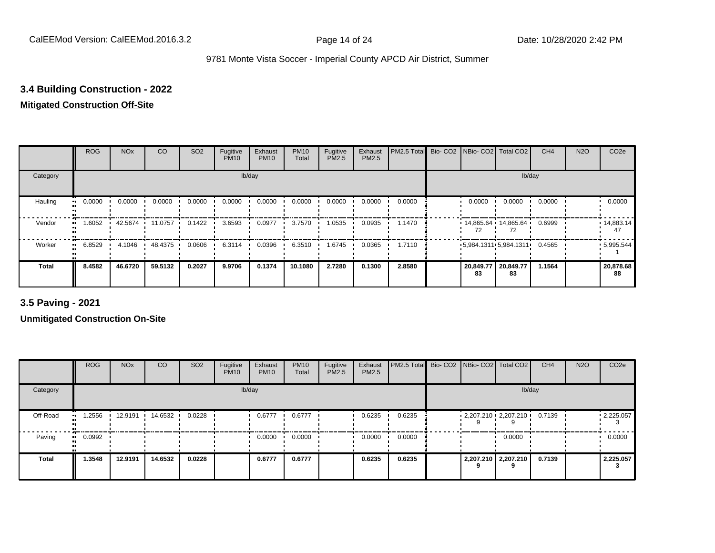### **3.4 Building Construction - 2022**

### **Mitigated Construction Off-Site**

|                           | <b>ROG</b>          | <b>NO<sub>x</sub></b> | CO      | SO <sub>2</sub> | Fugitive<br><b>PM10</b> | Exhaust<br><b>PM10</b> | <b>PM10</b><br>Total | Fugitive<br>PM2.5 | Exhaust<br>PM2.5 | PM2.5 Total | Bio- CO2 NBio- CO2 Total CO2 |                             | CH <sub>4</sub> | <b>N2O</b> | CO <sub>2e</sub>        |
|---------------------------|---------------------|-----------------------|---------|-----------------|-------------------------|------------------------|----------------------|-------------------|------------------|-------------|------------------------------|-----------------------------|-----------------|------------|-------------------------|
| Category                  |                     |                       |         |                 |                         | lb/day                 |                      |                   |                  |             |                              | lb/day                      |                 |            |                         |
| Hauling<br>$\blacksquare$ | 0.0000              | 0.0000                | 0.0000  | 0.0000          | 0.0000                  | 0.0000                 | 0.0000               | 0.0000            | 0.0000           | 0.0000      | 0.0000                       | 0.0000                      | 0.0000          |            | 0.0000                  |
| Vendor<br>$\bullet$       | 1.6052              | 42.5674               | 11.0757 | 0.1422          | 3.6593                  | 0.0977                 | 3.7570               | 1.0535            | 0.0935           | 1.1470      |                              | $14.865.64$ 14.865.64<br>72 | 0.6999          |            | $\cdot$ 14,883.14<br>47 |
| Worker                    | 6.8529<br>$\bullet$ | 4.1046                | 48.4375 | 0.0606          | 6.3114                  | 0.0396                 | 6.3510               | 1.6745            | 0.0365           | 1.7110      |                              | 5,984.1311 5,984.1311       | 0.4565          |            | .5,995.544              |
| <b>Total</b>              | 8.4582              | 46.6720               | 59.5132 | 0.2027          | 9.9706                  | 0.1374                 | 10.1080              | 2.7280            | 0.1300           | 2.8580      | 20,849.77<br>83              | 20,849.77<br>83             | 1.1564          |            | 20,878.68<br>88         |

**3.5 Paving - 2021**

|              | <b>ROG</b> | <b>NO<sub>x</sub></b> | CO      | SO <sub>2</sub> | Fugitive<br><b>PM10</b> | Exhaust<br><b>PM10</b> | <b>PM10</b><br>Total | Fugitive<br><b>PM2.5</b> | Exhaust<br>PM2.5 | PM2.5 Total Bio- CO2 NBio- CO2 Total CO2 |  |                                   | CH <sub>4</sub> | <b>N2O</b> | CO <sub>2e</sub> |
|--------------|------------|-----------------------|---------|-----------------|-------------------------|------------------------|----------------------|--------------------------|------------------|------------------------------------------|--|-----------------------------------|-----------------|------------|------------------|
| Category     |            |                       |         |                 |                         | lb/day                 |                      |                          |                  |                                          |  | lb/day                            |                 |            |                  |
| Off-Road     | .2556      | 12.9191               | 14.6532 | 0.0228          |                         | 0.6777                 | 0.6777               |                          | 0.6235           | 0.6235                                   |  | $-2,207.210 - 2,207.210 - 0.7139$ |                 |            | .2,225.057       |
| Paving       | 0.0992     |                       |         |                 |                         | 0.0000                 | 0.0000               |                          | 0.0000           | 0.0000                                   |  | 0.0000                            |                 |            | 0.0000           |
| <b>Total</b> | 1.3548     | 12.9191               | 14.6532 | 0.0228          |                         | 0.6777                 | 0.6777               |                          | 0.6235           | 0.6235                                   |  | 2,207.210 2,207.210               | 0.7139          |            | 2,225.057        |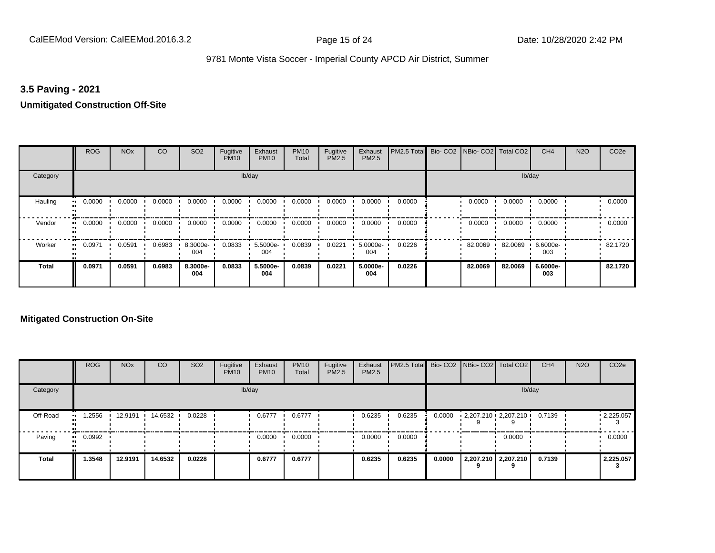#### **3.5 Paving - 2021**

#### **Unmitigated Construction Off-Site**

|                      | <b>ROG</b> | <b>NO<sub>x</sub></b> | CO     | SO <sub>2</sub> | Fugitive<br><b>PM10</b> | Exhaust<br><b>PM10</b> | <b>PM10</b><br>Total | Fugitive<br><b>PM2.5</b> | Exhaust<br>PM2.5 | PM2.5 Total Bio- CO2 NBio- CO2 Total CO2 |         |         | CH <sub>4</sub> | <b>N2O</b> | CO <sub>2e</sub> |
|----------------------|------------|-----------------------|--------|-----------------|-------------------------|------------------------|----------------------|--------------------------|------------------|------------------------------------------|---------|---------|-----------------|------------|------------------|
| Category             |            |                       |        |                 |                         | lb/day                 |                      |                          |                  |                                          |         | lb/day  |                 |            |                  |
| Hauling<br>$\bullet$ | 0.0000     | 0.0000                | 0.0000 | 0.0000          | 0.0000                  | 0.0000                 | 0.0000               | 0.0000                   | 0.0000           | 0.0000                                   | 0.0000  | 0.0000  | 0.0000          |            | 0.0000           |
| Vendor<br>$\bullet$  | 0.0000     | 0.0000                | 0.0000 | 0.0000          | 0.0000                  | 0.0000                 | 0.0000               | 0.0000                   | 0.0000           | 0.0000                                   | 0.0000  | 0.0000  | 0.0000          |            | 0.0000           |
| Worker<br>$\bullet$  | 0.0971     | 0.0591                | 0.6983 | 8.3000e-<br>004 | 0.0833                  | 5.5000e-<br>004        | 0.0839               | 0.0221                   | 5.0000e-<br>004  | 0.0226                                   | 82.0069 | 82.0069 | 6.6000e-<br>003 |            | 82.1720          |
| <b>Total</b>         | 0.0971     | 0.0591                | 0.6983 | 8.3000e-<br>004 | 0.0833                  | 5.5000e-<br>004        | 0.0839               | 0.0221                   | 5.0000e-<br>004  | 0.0226                                   | 82.0069 | 82.0069 | 6.6000e-<br>003 |            | 82.1720          |

|              | <b>ROG</b> | <b>NO<sub>x</sub></b> | CO      | SO <sub>2</sub> | Fugitive<br><b>PM10</b> | Exhaust<br><b>PM10</b> | <b>PM10</b><br>Total | Fugitive<br><b>PM2.5</b> | Exhaust<br>PM2.5 | PM2.5 Total Bio- CO2 NBio- CO2 Total CO2 |        |                             |                     | CH <sub>4</sub> | <b>N2O</b> | CO <sub>2e</sub>       |
|--------------|------------|-----------------------|---------|-----------------|-------------------------|------------------------|----------------------|--------------------------|------------------|------------------------------------------|--------|-----------------------------|---------------------|-----------------|------------|------------------------|
| Category     |            |                       |         |                 |                         | lb/day                 |                      |                          |                  |                                          |        |                             | lb/day              |                 |            |                        |
| Off-Road     | .2556      | 12.9191               | 14.6532 | 0.0228          |                         | 0.6777                 | 0.6777               |                          | 0.6235           | 0.6235                                   | 0.0000 | $2,207.210 \cdot 2,207.210$ |                     | 0.7139          |            | $\cdot$ 2,225.057<br>3 |
| Paving       | 0.0992     |                       |         |                 |                         | 0.0000                 | 0.0000               |                          | 0.0000           | 0.0000                                   |        |                             | 0.0000              |                 |            | 0.0000                 |
| <b>Total</b> | 1.3548     | 12.9191               | 14.6532 | 0.0228          |                         | 0.6777                 | 0.6777               |                          | 0.6235           | 0.6235                                   | 0.0000 |                             | 2,207.210 2,207.210 | 0.7139          |            | 2,225.057              |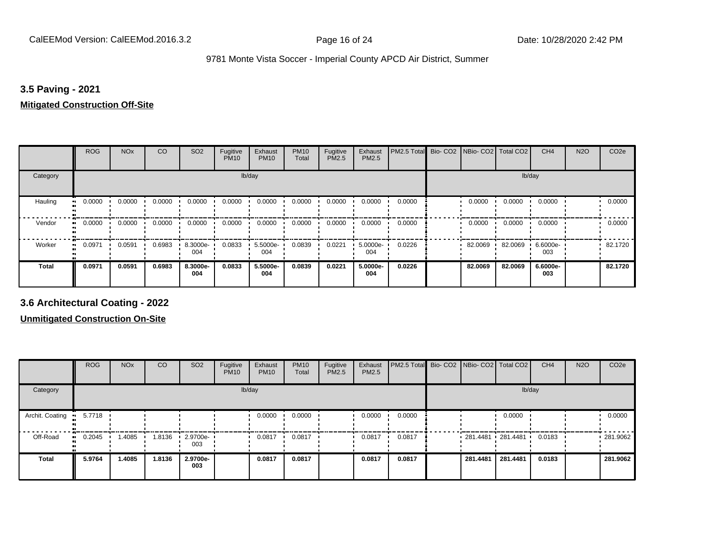#### **3.5 Paving - 2021**

#### **Mitigated Construction Off-Site**

|                           | <b>ROG</b> | <b>NO<sub>x</sub></b> | CO     | SO <sub>2</sub> | Fugitive<br><b>PM10</b> | Exhaust<br><b>PM10</b> | <b>PM10</b><br>Total | Fugitive<br>PM2.5 | Exhaust<br>PM2.5 | PM2.5 Total | Bio- CO2   NBio- CO2   Total CO2 |         | CH <sub>4</sub> | <b>N2O</b> | CO <sub>2e</sub> |
|---------------------------|------------|-----------------------|--------|-----------------|-------------------------|------------------------|----------------------|-------------------|------------------|-------------|----------------------------------|---------|-----------------|------------|------------------|
| Category                  |            |                       |        |                 | lb/day                  |                        |                      |                   |                  |             |                                  | lb/day  |                 |            |                  |
| Hauling<br>$\blacksquare$ | 0.0000     | 0.0000                | 0.0000 | 0.0000          | 0.0000                  | 0.0000                 | 0.0000               | 0.0000            | 0.0000           | 0.0000      | 0.0000                           | 0.0000  | 0.0000          |            | 0.0000           |
| Vendor<br>$\bullet$       | 0.0000     | 0.0000                | 0.0000 | 0.0000          | 0.0000                  | 0.0000                 | 0.0000               | 0.0000            | 0.0000           | 0.0000      | 0.0000                           | 0.0000  | 0.0000          |            | 0.0000           |
| Worker                    | 0.0971     | 0.0591                | 0.6983 | 8.3000e-<br>004 | 0.0833                  | 5.5000e-<br>004        | 0.0839               | 0.0221            | 5.0000e-<br>004  | 0.0226      | 82.0069                          | 82.0069 | 6.6000e-<br>003 |            | 82.1720          |
| <b>Total</b>              | 0.0971     | 0.0591                | 0.6983 | 8.3000e-<br>004 | 0.0833                  | 5.5000e-<br>004        | 0.0839               | 0.0221            | 5.0000e-<br>004  | 0.0226      | 82.0069                          | 82.0069 | 6.6000e-<br>003 |            | 82.1720          |

**3.6 Architectural Coating - 2022**

|                      | <b>ROG</b>          | <b>NO<sub>x</sub></b> | CO     | SO <sub>2</sub>    | Fugitive<br><b>PM10</b> | Exhaust<br><b>PM10</b> | <b>PM10</b><br>Total | Fugitive<br>PM2.5 | Exhaust<br>PM2.5 | PM2.5 Total Bio- CO2 NBio- CO2 Total CO2 |                   |          | CH <sub>4</sub> | <b>N2O</b> | CO <sub>2e</sub> |
|----------------------|---------------------|-----------------------|--------|--------------------|-------------------------|------------------------|----------------------|-------------------|------------------|------------------------------------------|-------------------|----------|-----------------|------------|------------------|
| Category             |                     |                       |        |                    |                         | lb/day                 |                      |                   |                  |                                          |                   |          | lb/day          |            |                  |
| Archit. Coating<br>. | 5.7718              |                       |        |                    |                         | 0.0000                 | 0.0000               |                   | 0.0000           | 0.0000                                   |                   | 0.0000   |                 |            | 0.0000           |
| Off-Road             | 0.2045<br>$\bullet$ | 1.4085                | 1.8136 | $-2.9700e-$<br>003 |                         | 0.0817                 | 0.0817               |                   | 0.0817           | 0.0817                                   | 281.4481 281.4481 |          | 0.0183          |            | 281.9062         |
| <b>Total</b>         | 5.9764              | 1.4085                | 1.8136 | 2.9700e-<br>003    |                         | 0.0817                 | 0.0817               |                   | 0.0817           | 0.0817                                   | 281.4481          | 281.4481 | 0.0183          |            | 281.9062         |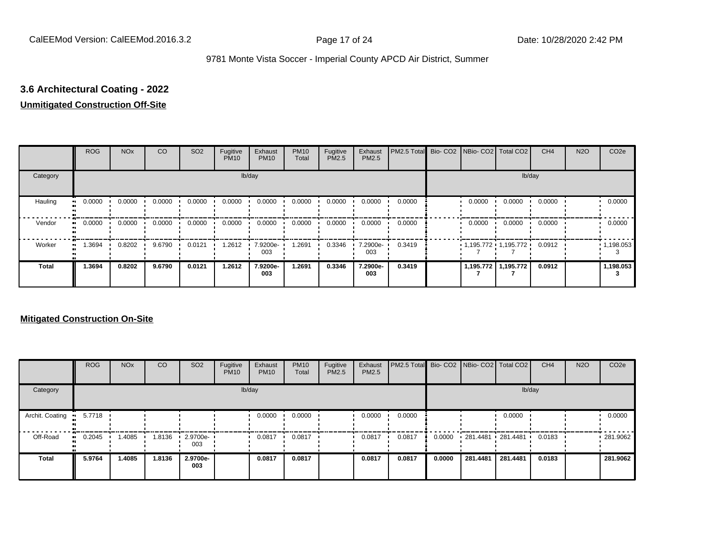## **3.6 Architectural Coating - 2022**

### **Unmitigated Construction Off-Site**

|                           | <b>ROG</b>          | <b>NO<sub>x</sub></b> | CO     | SO <sub>2</sub> | Fugitive<br><b>PM10</b> | Exhaust<br><b>PM10</b> | <b>PM10</b><br>Total | Fugitive<br><b>PM2.5</b> | Exhaust<br>PM2.5 | PM2.5 Total Bio- CO2 NBio- CO2 Total CO2 |                       |                     | CH <sub>4</sub> | <b>N2O</b> | CO <sub>2e</sub>  |
|---------------------------|---------------------|-----------------------|--------|-----------------|-------------------------|------------------------|----------------------|--------------------------|------------------|------------------------------------------|-----------------------|---------------------|-----------------|------------|-------------------|
| Category                  |                     |                       |        |                 |                         | lb/day                 |                      |                          |                  |                                          |                       |                     | lb/day          |            |                   |
| Hauling<br>$\blacksquare$ | 0.0000              | 0.0000                | 0.0000 | 0.0000          | 0.0000                  | 0.0000                 | 0.0000               | 0.0000                   | 0.0000           | 0.0000                                   | 0.0000                | 0.0000              | 0.0000          |            | 0.0000            |
| Vendor                    | 0.0000<br>$\bullet$ | 0.0000                | 0.0000 | 0.0000          | 0.0000                  | 0.0000                 | 0.0000               | 0.0000                   | 0.0000           | 0.0000                                   | 0.0000                | 0.0000              | 0.0000          |            | 0.0000            |
| Worker<br>$\bullet$       | 1.3694              | 0.8202                | 9.6790 | 0.0121          | 1.2612                  | 7.9200e-<br>003        | .2691                | 0.3346                   | 7.2900e-<br>003  | 0.3419                                   | $1,195.772$ 1,195.772 |                     | 0.0912          |            | $\cdot$ 1,198.053 |
| <b>Total</b>              | 1.3694              | 0.8202                | 9.6790 | 0.0121          | 1.2612                  | 7.9200e-<br>003        | 1.2691               | 0.3346                   | 7.2900e-<br>003  | 0.3419                                   |                       | 1,195.772 1,195.772 | 0.0912          |            | 1,198.053         |

|                 | <b>ROG</b> | <b>NO<sub>x</sub></b> | CO     | SO <sub>2</sub> | Fugitive<br><b>PM10</b> | Exhaust<br><b>PM10</b> | <b>PM10</b><br>Total | Fugitive<br><b>PM2.5</b> | Exhaust<br><b>PM2.5</b> | PM2.5 Total Bio- CO2 NBio- CO2 Total CO2 |        |                   |          | CH <sub>4</sub> | <b>N2O</b> | CO <sub>2e</sub> |
|-----------------|------------|-----------------------|--------|-----------------|-------------------------|------------------------|----------------------|--------------------------|-------------------------|------------------------------------------|--------|-------------------|----------|-----------------|------------|------------------|
| Category        |            |                       |        |                 |                         | lb/day                 |                      |                          |                         |                                          |        |                   | lb/day   |                 |            |                  |
| Archit. Coating | 5.7718     |                       |        |                 |                         | 0.0000                 | 0.0000               |                          | 0.0000                  | 0.0000                                   |        |                   | 0.0000   |                 |            | 0.0000           |
| Off-Road        | 0.2045     | 1.4085                | 1.8136 | 2.9700e-<br>003 |                         | 0.0817                 | 0.0817               |                          | 0.0817                  | 0.0817                                   | 0.0000 | 281.4481 281.4481 |          | 0.0183          |            | .281.9062        |
| <b>Total</b>    | 5.9764     | 1.4085                | 1.8136 | 2.9700e-<br>003 |                         | 0.0817                 | 0.0817               |                          | 0.0817                  | 0.0817                                   | 0.0000 | 281.4481          | 281.4481 | 0.0183          |            | 281.9062         |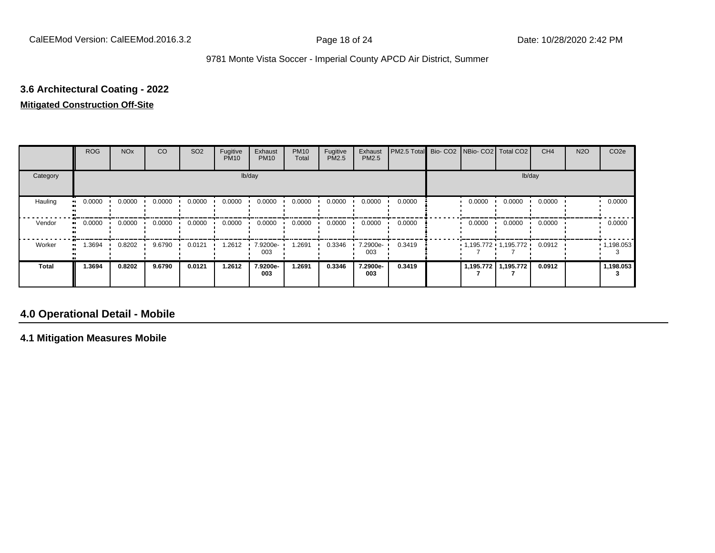# **3.6 Architectural Coating - 2022**

## **Mitigated Construction Off-Site**

|                      | <b>ROG</b> | <b>NO<sub>x</sub></b> | CO     | SO <sub>2</sub> | Fugitive<br><b>PM10</b> | Exhaust<br><b>PM10</b> | <b>PM10</b><br>Total | Fugitive<br>PM2.5 | Exhaust<br>PM2.5 | PM2.5 Total Bio- CO2 NBio- CO2 Total CO2 |                       |                     | CH <sub>4</sub> | <b>N2O</b> | CO <sub>2e</sub>  |
|----------------------|------------|-----------------------|--------|-----------------|-------------------------|------------------------|----------------------|-------------------|------------------|------------------------------------------|-----------------------|---------------------|-----------------|------------|-------------------|
| Category             |            |                       |        |                 |                         | lb/day                 |                      |                   |                  |                                          |                       | lb/day              |                 |            |                   |
| Hauling<br>$\bullet$ | 0.0000     | 0.0000                | 0.0000 | 0.0000          | 0.0000                  | 0.0000                 | 0.0000               | 0.0000            | 0.0000           | 0.0000                                   | 0.0000                | 0.0000              | 0.0000          |            | 0.0000            |
| Vendor<br>$\bullet$  | 0.0000     | 0.0000                | 0.0000 | 0.0000          | 0.0000                  | 0.0000                 | 0.0000               | 0.0000            | 0.0000           | 0.0000                                   | 0.0000                | 0.0000              | 0.0000          |            | 0.0000            |
| Worker<br>$\bullet$  | 1.3694     | 0.8202                | 9.6790 | 0.0121          | 1.2612                  | 7.9200e-<br>003        | 1.2691               | 0.3346            | .2900e-<br>003   | 0.3419                                   | $1,195.772$ 1,195.772 |                     | 0.0912          |            | $\cdot$ 1,198.053 |
| Total                | 1.3694     | 0.8202                | 9.6790 | 0.0121          | 1.2612                  | 7.9200e-<br>003        | 1.2691               | 0.3346            | 7.2900e-<br>003  | 0.3419                                   |                       | 1,195.772 1,195.772 | 0.0912          |            | 1,198.053         |

## **4.0 Operational Detail - Mobile**

**4.1 Mitigation Measures Mobile**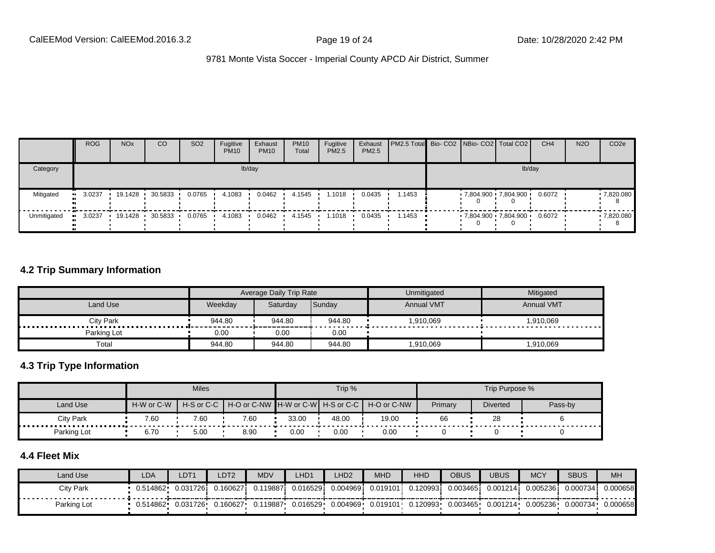|                        | <b>ROG</b> | <b>NO<sub>x</sub></b> | CO        | SO <sub>2</sub> | Fugitive<br><b>PM10</b> | Exhaust<br><b>PM10</b> | <b>PM10</b><br>Total | Fugitive<br><b>PM2.5</b> | Exhaust<br>PM2.5 | <b>PM2.5 Total</b> Bio- CO2 NBio- CO2 Total CO2 |  |                     | CH <sub>4</sub> | <b>N2O</b> | CO <sub>2e</sub> |
|------------------------|------------|-----------------------|-----------|-----------------|-------------------------|------------------------|----------------------|--------------------------|------------------|-------------------------------------------------|--|---------------------|-----------------|------------|------------------|
| Category               |            |                       |           |                 |                         | lb/day                 |                      |                          |                  |                                                 |  | lb/day              |                 |            |                  |
| Mitigated<br>$\bullet$ | 3.0237     | 19.1428               | 30.5833   | 0.0765          | 4.1083                  | 0.0462                 | 4.1545               | 1.1018                   | 0.0435           | .1453                                           |  | 7,804.900 7,804.900 | 0.6072          |            | .7820.080        |
| Unmitigated            | 3.0237     | 19.1428 ·             | 30.5833 · | 0.0765          | 4.1083                  | 0.0462                 | 4.1545               | 1.1018                   | 0.0435           | .1453                                           |  | 7,804.900 7,804.900 | 0.6072          |            | .7,820.080       |

#### **4.2 Trip Summary Information**

|                       |         | Average Daily Trip Rate |        | Unmitigated       | Mitigated         |
|-----------------------|---------|-------------------------|--------|-------------------|-------------------|
| Land Use              | Weekdav | Saturdav                | Sunday | <b>Annual VMT</b> | <b>Annual VMT</b> |
| <b>City Park</b><br>. | 944.80  | 944.80                  | 944.80 | 910,069           | 1,910,069         |
| Parking Lot           | 0.00    | 0.00                    | 0.00   |                   |                   |
| Total                 | 944.80  | 944.80                  | 944.80 | 1,910,069         | 1,910,069         |

#### **4.3 Trip Type Information**

|             |            | <b>Miles</b> |      |       | Trip % |                                               |         | Trip Purpose %  |         |
|-------------|------------|--------------|------|-------|--------|-----------------------------------------------|---------|-----------------|---------|
| Land Use    | H-W or C-W | H-S or C-C   |      |       |        | H-O or C-NW H-W or C-W H-S or C-C H-O or C-NW | Primary | <b>Diverted</b> | Pass-by |
| City Park   | 7.60       | 7.60         | 7.60 | 33.00 | 48.00  | 19.00                                         | 66      | 28              |         |
| Parking Lot | 6.70       | 5.00         | 8.90 | 0.00  | 0.00   | 0.00                                          |         |                 |         |

## **4.4 Fleet Mix**

| Land Use    | LDA       | LDT <sub>1</sub> | LDT <sub>2</sub> | <b>MDV</b> | LHD1     | LHD2      | <b>MHD</b> | HHD                                      | <b>OBUS</b>       | UBUS     | <b>MCY</b> | <b>SBUS</b> | <b>MH</b> |
|-------------|-----------|------------------|------------------|------------|----------|-----------|------------|------------------------------------------|-------------------|----------|------------|-------------|-----------|
| City Park   | 0.514862  | 0.0317261        | 0.160627         | 0.119887i  | 0.016529 | 0.0049691 | 0.019101   | 0.120993i                                | 0.003465 <b>i</b> | 0.001214 | 0.0052361  | 0.000734    | 0.000658  |
| Parking Lot | 0.514862• | 0.031726         | 0.160627         | 0.119887   | 0.016529 | 0.004969  |            | $0.019101 \cdot 0.120993 \cdot 0.003465$ |                   | 0.001214 | 0.005236   | 0.000734    | 0.000658  |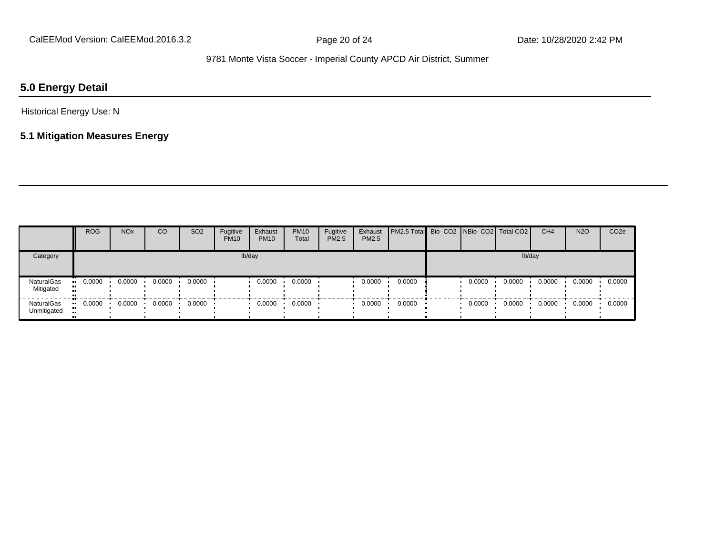## **5.0 Energy Detail**

Historical Energy Use: N

## **5.1 Mitigation Measures Energy**

|                           | <b>ROG</b> | <b>NO<sub>x</sub></b> | <sub>CO</sub> | <b>SO2</b> | Fugitive<br><b>PM10</b> | Exhaust<br><b>PM10</b> | <b>PM10</b><br>Total | Fugitive<br>PM2.5 | Exhaust<br>PM2.5 | PM2.5 Total  Bio- CO2   NBio- CO2   Total CO2 |        |        | CH <sub>4</sub> | <b>N2O</b> | CO <sub>2e</sub> |
|---------------------------|------------|-----------------------|---------------|------------|-------------------------|------------------------|----------------------|-------------------|------------------|-----------------------------------------------|--------|--------|-----------------|------------|------------------|
| Category                  |            |                       |               |            |                         | lb/day                 |                      |                   |                  |                                               |        | lb/day |                 |            |                  |
| NaturalGas<br>Mitigated   | 0.0000     | 0.0000                | 0.0000        | 0.0000     |                         | 0.0000                 | 0.0000               |                   | 0.0000           | 0.0000                                        | 0.0000 | 0.0000 | 0.0000          | 0.0000     | 0.0000           |
| NaturalGas<br>Unmitigated | 0.0000     | 0.0000                | 0.0000        | 0.0000     |                         | 0.0000                 | 0.0000               |                   | 0.0000           | 0.0000                                        | 0.0000 | 0.0000 | 0.0000          | 0.0000     | 0.0000           |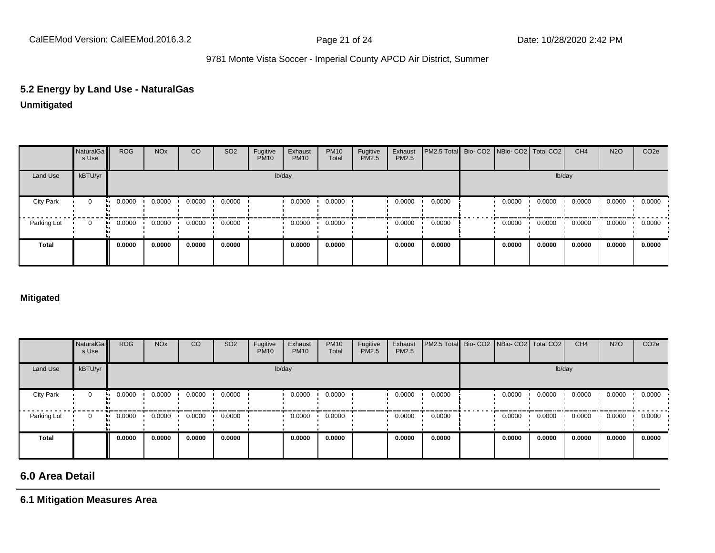## **5.2 Energy by Land Use - NaturalGas**

**Unmitigated**

|                  | NaturalGa<br>s Use | <b>ROG</b> | <b>NO<sub>x</sub></b> | CO     | SO <sub>2</sub> | Fugitive<br><b>PM10</b> | Exhaust<br><b>PM10</b> | <b>PM10</b><br>Total | Fugitive<br>PM2.5 | Exhaust<br>PM2.5 | PM2.5 Total Bio- CO2 NBio- CO2 Total CO2 |        |        | CH <sub>4</sub> | <b>N2O</b> | CO <sub>2</sub> e |
|------------------|--------------------|------------|-----------------------|--------|-----------------|-------------------------|------------------------|----------------------|-------------------|------------------|------------------------------------------|--------|--------|-----------------|------------|-------------------|
| Land Use         | kBTU/yr            |            |                       |        |                 |                         | lb/day                 |                      |                   |                  |                                          |        |        | lb/day          |            |                   |
| <b>City Park</b> | 0                  | 0.0000     | 0.0000                | 0.0000 | 0.0000          |                         | 0.0000                 | 0.0000               |                   | 0.0000           | 0.0000                                   | 0.0000 | 0.0000 | 0.0000          | 0.0000     | 0.0000            |
| Parking Lot      | 0                  | 0.0000     | 0.0000                | 0.0000 | 0.0000          |                         | 0.0000                 | 0.0000               |                   | 0.0000           | 0.0000                                   | 0.0000 | 0.0000 | 0.0000          | 0.0000     | 0.0000            |
| <b>Total</b>     |                    | 0.0000     | 0.0000                | 0.0000 | 0.0000          |                         | 0.0000                 | 0.0000               |                   | 0.0000           | 0.0000                                   | 0.0000 | 0.0000 | 0.0000          | 0.0000     | 0.0000            |

#### **Mitigated**

|                  | NaturalGa<br>s Use | <b>ROG</b> | <b>NO<sub>x</sub></b> | CO     | SO <sub>2</sub> | Fugitive<br><b>PM10</b> | Exhaust<br><b>PM10</b> | <b>PM10</b><br>Total | Fugitive<br>PM2.5 | Exhaust<br>PM2.5 | PM2.5 Total Bio- CO2 NBio- CO2 Total CO2 |        |        | CH <sub>4</sub> | <b>N2O</b> | CO <sub>2e</sub> |
|------------------|--------------------|------------|-----------------------|--------|-----------------|-------------------------|------------------------|----------------------|-------------------|------------------|------------------------------------------|--------|--------|-----------------|------------|------------------|
| Land Use         | kBTU/yr            |            |                       |        |                 |                         | lb/day                 |                      |                   |                  |                                          |        | lb/day |                 |            |                  |
| <b>City Park</b> | 0                  | 0.0000     | 0.0000                | 0.0000 | 0.0000          |                         | 0.0000                 | 0.0000               |                   | 0.0000           | 0.0000                                   | 0.0000 | 0.0000 | 0.0000          | 0.0000     | 0.0000           |
| Parking Lot      | 0                  | 0.0000     | 0.0000                | 0.0000 | 0.0000          |                         | 0.0000                 | 0.0000               |                   | 0.0000           | 0.0000                                   | 0.0000 | 0.0000 | 0.0000          | 0.0000     | 0.0000           |
| <b>Total</b>     |                    | 0.0000     | 0.0000                | 0.0000 | 0.0000          |                         | 0.0000                 | 0.0000               |                   | 0.0000           | 0.0000                                   | 0.0000 | 0.0000 | 0.0000          | 0.0000     | 0.0000           |

## **6.0 Area Detail**

**6.1 Mitigation Measures Area**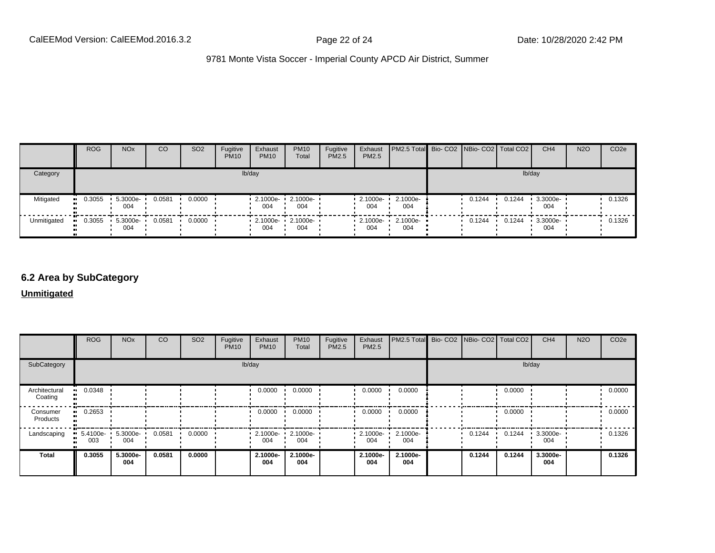|             | <b>ROG</b>            | <b>NO<sub>x</sub></b> | CO     | SO <sub>2</sub> | Fugitive<br><b>PM10</b> | Exhaust<br><b>PM10</b>                   | <b>PM10</b><br>Total         | Fugitive<br><b>PM2.5</b> | Exhaust<br>PM2.5   | <b>PM2.5 Total</b> Bio- CO2 NBio- CO2   Total CO2 |        |        | CH <sub>4</sub> | <b>N2O</b> | CO <sub>2e</sub> |
|-------------|-----------------------|-----------------------|--------|-----------------|-------------------------|------------------------------------------|------------------------------|--------------------------|--------------------|---------------------------------------------------|--------|--------|-----------------|------------|------------------|
| Category    |                       |                       |        |                 |                         | lb/day                                   |                              |                          |                    |                                                   |        |        | lb/day          |            |                  |
| Mitigated   | $\blacksquare$ 0.3055 | 5.3000e-<br>004       | 0.0581 | 0.0000          |                         | 004                                      | 2.1000e- 1 2.1000e- 1<br>004 |                          | 2.1000e-<br>004    | 2.1000e-<br>004                                   | 0.1244 | 0.1244 | 3.3000e-<br>004 |            | 0.1326           |
| Unmitigated | 0.3055                | 5.3000e-<br>004       | 0.0581 | 0.0000          |                         | $\cdot$ 2.1000e- $\cdot$ 2.1000e-<br>004 | 004                          |                          | $-2.1000e-$<br>004 | 2.1000e-<br>004                                   | 0.1244 | 0.1244 | 3.3000e-<br>004 |            | 0.1326           |

#### **6.2 Area by SubCategory**

**Unmitigated**

|                          | <b>ROG</b>      | <b>NO<sub>x</sub></b> | CO     | SO <sub>2</sub> | Fugitive<br><b>PM10</b> | Exhaust<br><b>PM10</b>  | <b>PM10</b><br>Total | Fugitive<br>PM2.5 | Exhaust<br>PM2.5 | PM2.5 Total Bio- CO2 NBio- CO2 Total CO2 |        |        | CH <sub>4</sub> | <b>N2O</b> | CO <sub>2</sub> e |
|--------------------------|-----------------|-----------------------|--------|-----------------|-------------------------|-------------------------|----------------------|-------------------|------------------|------------------------------------------|--------|--------|-----------------|------------|-------------------|
| SubCategory              |                 |                       |        |                 | lb/day                  |                         |                      |                   |                  |                                          |        | lb/day |                 |            |                   |
| Architectural<br>Coating | 0.0348          |                       |        |                 |                         | 0.0000                  | 0.0000               |                   | 0.0000           | 0.0000                                   |        | 0.0000 |                 |            | 0.0000            |
| Consumer<br>Products     | 0.2653          |                       |        |                 |                         | 0.0000                  | 0.0000               |                   | 0.0000           | 0.0000                                   |        | 0.0000 |                 |            | 0.0000            |
| Landscaping              | 5.4100e-<br>003 | 5.3000e-<br>004       | 0.0581 | 0.0000          |                         | $\cdot$ 2.1000e-<br>004 | 2.1000e-<br>004      |                   | 2.1000e-<br>004  | 2.1000e-<br>004                          | 0.1244 | 0.1244 | 3.3000e-<br>004 |            | 0.1326            |
| <b>Total</b>             | 0.3055          | 5.3000e-<br>004       | 0.0581 | 0.0000          |                         | 2.1000e-<br>004         | 2.1000e-<br>004      |                   | 2.1000e-<br>004  | 2.1000e-<br>004                          | 0.1244 | 0.1244 | 3.3000e-<br>004 |            | 0.1326            |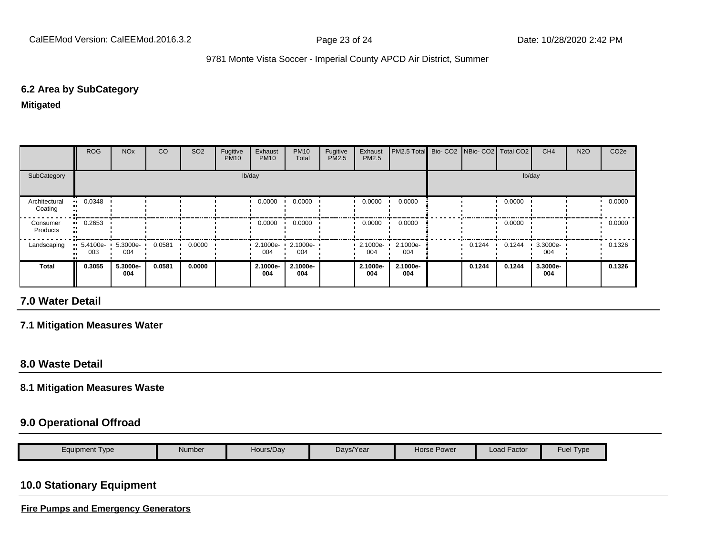#### **6.2 Area by SubCategory**

**Mitigated**

|                          | <b>ROG</b>                     | <b>NO<sub>x</sub></b> | CO     | SO <sub>2</sub> | Fugitive<br><b>PM10</b> | Exhaust<br><b>PM10</b> | <b>PM10</b><br>Total | Fugitive<br>PM2.5 | Exhaust<br><b>PM2.5</b> | PM2.5 Total Bio- CO2 NBio- CO2   Total CO2 |        |        | CH <sub>4</sub> | <b>N2O</b> | CO <sub>2e</sub> |
|--------------------------|--------------------------------|-----------------------|--------|-----------------|-------------------------|------------------------|----------------------|-------------------|-------------------------|--------------------------------------------|--------|--------|-----------------|------------|------------------|
| SubCategory              |                                |                       |        |                 |                         | lb/day                 |                      |                   |                         |                                            |        |        | lb/day          |            |                  |
| Architectural<br>Coating | $\blacksquare$ 0.0348          |                       |        |                 |                         | 0.0000                 | 0.0000               |                   | 0.0000                  | 0.0000                                     |        | 0.0000 |                 |            | 0.0000           |
| Consumer<br>Products     | $-0.2653$                      |                       |        |                 |                         | 0.0000                 | 0.0000               |                   | 0.0000                  | 0.0000                                     |        | 0.0000 |                 |            | 0.0000           |
| Landscaping              | $\blacksquare$ 5.4100e-<br>003 | 5.3000e-<br>004       | 0.0581 | 0.0000          |                         | 2.1000e-<br>004        | 2.1000e-<br>004      |                   | 2.1000e-<br>004         | 2.1000e-<br>004                            | 0.1244 | 0.1244 | 3.3000e-<br>004 |            | 0.1326           |
| <b>Total</b>             | 0.3055                         | 5.3000e-<br>004       | 0.0581 | 0.0000          |                         | 2.1000e-<br>004        | 2.1000e-<br>004      |                   | 2.1000e-<br>004         | 2.1000e-<br>004                            | 0.1244 | 0.1244 | 3.3000e-<br>004 |            | 0.1326           |

## **7.0 Water Detail**

#### **7.1 Mitigation Measures Water**

#### **8.0 Waste Detail**

#### **8.1 Mitigation Measures Waste**

#### **9.0 Operational Offroad**

| Eauipment Tvpe | Number | Hours/Day | Days/Year | Power<br>Horse | $\cdot$ $-$<br>Load Factor | Fuel<br><b>I</b> vpe |
|----------------|--------|-----------|-----------|----------------|----------------------------|----------------------|
|                |        |           |           |                |                            |                      |

## **10.0 Stationary Equipment**

**Fire Pumps and Emergency Generators**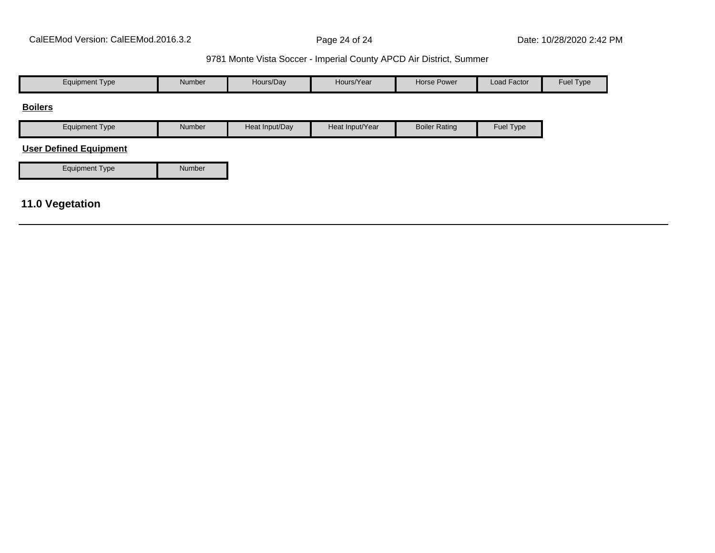| <b>Equipment Type</b>         | Number | Hours/Day      | Hours/Year      | <b>Horse Power</b>   | Load Factor | Fuel Type |
|-------------------------------|--------|----------------|-----------------|----------------------|-------------|-----------|
| <b>Boilers</b>                |        |                |                 |                      |             |           |
| <b>Equipment Type</b>         | Number | Heat Input/Day | Heat Input/Year | <b>Boiler Rating</b> | Fuel Type   |           |
| <b>User Defined Equipment</b> |        |                |                 |                      |             |           |
| Equipment Type                | Number |                |                 |                      |             |           |
|                               |        |                |                 |                      |             |           |
| <b>11.0 Vegetation</b>        |        |                |                 |                      |             |           |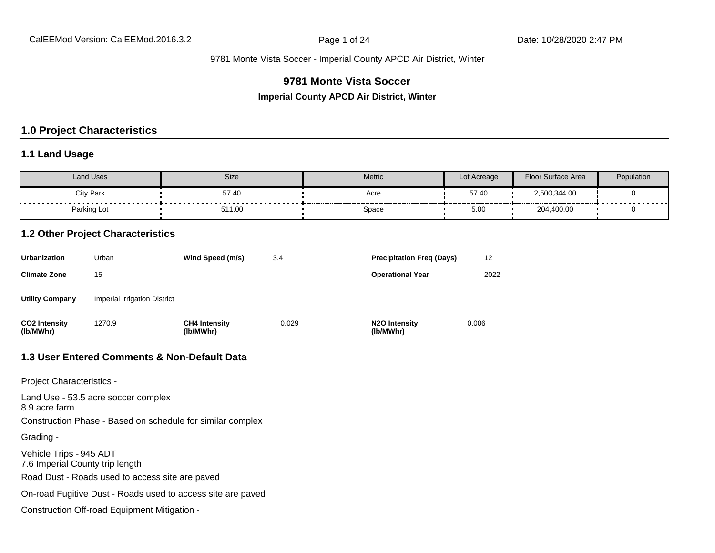### **9781 Monte Vista Soccer**

**Imperial County APCD Air District, Winter**

#### **1.0 Project Characteristics**

#### **1.1 Land Usage**

| Land Uses        | <b>Size</b> | Metric | Lot Acreage | Floor Surface Area | Population |
|------------------|-------------|--------|-------------|--------------------|------------|
| <b>City Park</b> | 57.40       | Acre   | 57.40       | 2,500,344.00       |            |
| Parking Lot      | 511.00      | Space  | 5.00        | 204,400.00         | .          |

#### **1.2 Other Project Characteristics**

| <b>Urbanization</b>               | Urban                        | Wind Speed (m/s)                  | 3.4   | <b>Precipitation Freg (Days)</b>        | 12    |
|-----------------------------------|------------------------------|-----------------------------------|-------|-----------------------------------------|-------|
| <b>Climate Zone</b>               | 15                           |                                   |       | <b>Operational Year</b>                 | 2022  |
| <b>Utility Company</b>            | Imperial Irrigation District |                                   |       |                                         |       |
| <b>CO2 Intensity</b><br>(lb/MWhr) | 1270.9                       | <b>CH4 Intensity</b><br>(lb/MWhr) | 0.029 | N <sub>2</sub> O Intensity<br>(lb/MWhr) | 0.006 |

#### **1.3 User Entered Comments & Non-Default Data**

Project Characteristics -

Land Use - 53.5 acre soccer complex 8.9 acre farm Construction Phase - Based on schedule for similar complex Grading - Vehicle Trips - 945 ADT 7.6 Imperial County trip length Road Dust - Roads used to access site are paved On-road Fugitive Dust - Roads used to access site are paved Construction Off-road Equipment Mitigation -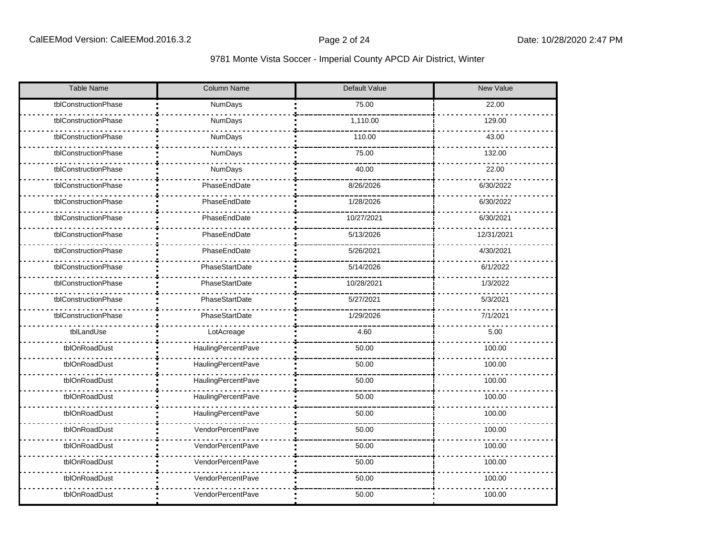| <b>Table Name</b>    | Column Name               | Default Value | New Value  |  |  |
|----------------------|---------------------------|---------------|------------|--|--|
| tblConstructionPhase | NumDays                   | 75.00         | 22.00      |  |  |
| tblConstructionPhase | NumDays                   | 1,110.00      | 129.00     |  |  |
| tblConstructionPhase | NumDays                   | 110.00        | 43.00      |  |  |
| tblConstructionPhase | NumDays                   | 75.00         | 132.00     |  |  |
| tblConstructionPhase | NumDays                   | 40.00         | 22.00      |  |  |
| tblConstructionPhase | PhaseEndDate              | 8/26/2026     | 6/30/2022  |  |  |
| tblConstructionPhase | PhaseEndDate              | 1/28/2026     | 6/30/2022  |  |  |
| tblConstructionPhase | PhaseEndDate              | 10/27/2021    | 6/30/2021  |  |  |
| tblConstructionPhase | PhaseEndDate              | 5/13/2026     | 12/31/2021 |  |  |
| tblConstructionPhase | PhaseEndDate              | 5/26/2021     | 4/30/2021  |  |  |
| tblConstructionPhase | PhaseStartDate            | 5/14/2026     | 6/1/2022   |  |  |
| tblConstructionPhase | PhaseStartDate            | 10/28/2021    | 1/3/2022   |  |  |
| tblConstructionPhase | PhaseStartDate            | 5/27/2021     | 5/3/2021   |  |  |
| tblConstructionPhase | PhaseStartDate            | 1/29/2026     | 7/1/2021   |  |  |
| tblLandUse           | LotAcreage                | 4.60          | 5.00       |  |  |
| tblOnRoadDust        | HaulingPercentPave        | 50.00         | 100.00     |  |  |
| tblOnRoadDust        | HaulingPercentPave        | 50.00         | 100.00     |  |  |
| tblOnRoadDust        | HaulingPercentPave        | 50.00         | 100.00     |  |  |
| tblOnRoadDust        | HaulingPercentPave        | 50.00         | 100.00     |  |  |
| tblOnRoadDust        | <b>HaulingPercentPave</b> | 50.00         | 100.00     |  |  |
| tblOnRoadDust        | VendorPercentPave         | 50.00         | 100.00     |  |  |
| tblOnRoadDust        | VendorPercentPave         | 50.00         | 100.00     |  |  |
| tblOnRoadDust        | VendorPercentPave         |               | 100.00     |  |  |
| tblOnRoadDust        | VendorPercentPave         | 50.00         | 100.00     |  |  |
| tblOnRoadDust        | <b>VendorPercentPave</b>  | 50.00         | 100.00     |  |  |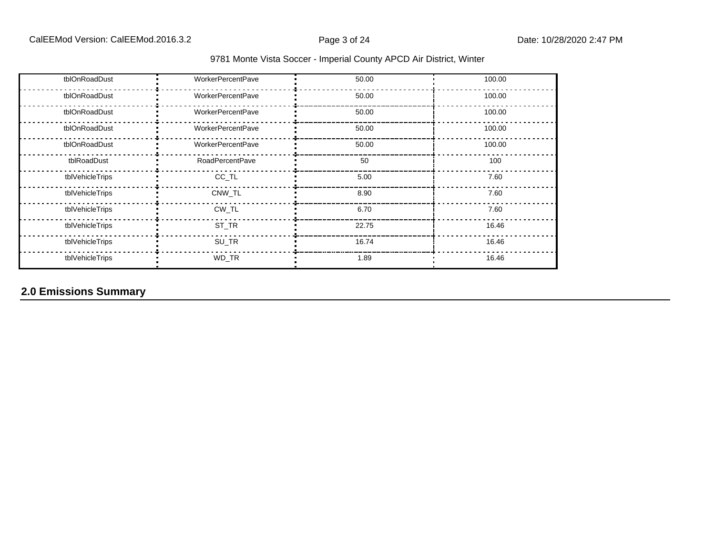|  |  |  | 9781 Monte Vista Soccer - Imperial County APCD Air District, Winter |  |
|--|--|--|---------------------------------------------------------------------|--|
|--|--|--|---------------------------------------------------------------------|--|

| tblOnRoadDust   | <b>WorkerPercentPave</b> | 50.00 | 100.00 |
|-----------------|--------------------------|-------|--------|
| tblOnRoadDust   | <b>WorkerPercentPave</b> | 50.00 | 100.00 |
| tblOnRoadDust   | <b>WorkerPercentPave</b> | 50.00 | 100.00 |
| tblOnRoadDust   | <b>WorkerPercentPave</b> | 50.00 | 100.00 |
| tblOnRoadDust   | <b>WorkerPercentPave</b> | 50.00 | 100.00 |
| tblRoadDust     | <b>RoadPercentPave</b>   | 50    | 100    |
| tblVehicleTrips | CC_TL                    | 5.00  | 7.60   |
| tblVehicleTrips | CNW TL                   | 8.90  | 7.60   |
| tblVehicleTrips | CW_TL                    | 6.70  | 7.60   |
| tblVehicleTrips | ST_TR                    | 22.75 | 16.46  |
| tblVehicleTrips | SU_TR                    | 16.74 | 16.46  |
| tblVehicleTrips | WD_TR                    | 1.89  | 16.46  |

## **2.0 Emissions Summary**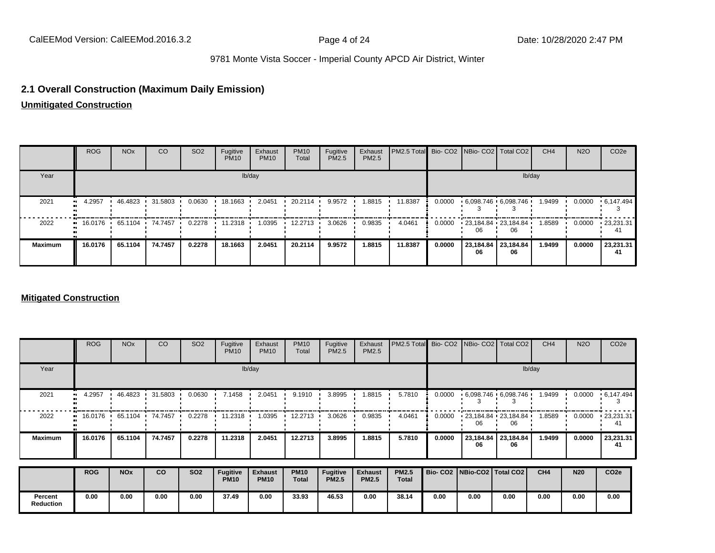#### **2.1 Overall Construction (Maximum Daily Emission)**

**Unmitigated Construction**

|                | <b>ROG</b>                                                           | <b>NO<sub>x</sub></b> | <sub>CO</sub> | SO <sub>2</sub> | Fugitive<br><b>PM10</b> | Exhaust<br><b>PM10</b> | <b>PM10</b><br>Total | Fugitive<br>PM2.5 | Exhaust<br>PM2.5 | PM2.5 Total Bio- CO2 NBio- CO2   Total CO2 |        |    |                                 | CH <sub>4</sub> | <b>N2O</b> | CO <sub>2e</sub>  |
|----------------|----------------------------------------------------------------------|-----------------------|---------------|-----------------|-------------------------|------------------------|----------------------|-------------------|------------------|--------------------------------------------|--------|----|---------------------------------|-----------------|------------|-------------------|
| Year           |                                                                      |                       |               |                 |                         | lb/day                 |                      |                   |                  |                                            |        |    |                                 | lb/day          |            |                   |
| 2021           | $-4.2957$                                                            | 46.4823               | 31.5803       | 0.0630          | 18.1663 ·               | 2.0451                 | 20.2114              | 9.9572            | 1.8815           | 11.8387                                    | 0.0000 |    | $6.098.746 \cdot 6.098.746$     | 1.9499          | 0.0000     | $\cdot$ 6.147.494 |
| 2022           | $\blacksquare$ 16.0176 $\blacksquare$ 65.1104 $\blacksquare$ 74.7457 |                       |               | 0.2278          | 11.2318                 | 1.0395                 | 12.2713              | 3.0626            | 0.9835           | 4.0461                                     | 0.0000 |    | $123,184.84$ $123,184.84$<br>06 | 1.8589          | 0.0000     | $-23,231.31$      |
| <b>Maximum</b> | 16.0176                                                              | 65.1104               | 74.7457       | 0.2278          | 18.1663                 | 2.0451                 | 20.2114              | 9.9572            | 1.8815           | 11.8387                                    | 0.0000 | 06 | 23,184.84 23,184.84<br>06       | 1.9499          | 0.0000     | 23,231.31<br>41   |

#### **Mitigated Construction**

|                | <b>ROG</b>        | <b>NO<sub>x</sub></b> | CO      | SO <sub>2</sub> | Fugitive<br><b>PM10</b>        | Exhaust<br><b>PM10</b>        | <b>PM10</b><br>Total        | Fugitive<br>PM2.5               | Exhaust<br>PM2.5               | PM2.5 Total                  |        | Bio- CO2   NBio- CO2   Total CO2 |                            | CH <sub>4</sub> | <b>N2O</b> | CO <sub>2e</sub>   |
|----------------|-------------------|-----------------------|---------|-----------------|--------------------------------|-------------------------------|-----------------------------|---------------------------------|--------------------------------|------------------------------|--------|----------------------------------|----------------------------|-----------------|------------|--------------------|
| Year           |                   |                       |         |                 |                                | lb/day                        |                             |                                 |                                |                              |        |                                  |                            | lb/day          |            |                    |
| 2021           | 4.2957            | 46.4823               | 31.5803 | 0.0630          | 7.1458                         | 2.0451                        | 9.1910                      | 3.8995                          | 1.8815                         | 5.7810                       | 0.0000 | $.6098.746 \cdot 6098.746$       |                            | 1.9499          | 0.0000     | .6,147.494         |
| 2022           | $16.0176$ $\cdot$ | 65.1104               | 74.7457 | 0.2278          | 11.2318                        | 1.0395                        | 12.2713                     | 3.0626                          | 0.9835                         | 4.0461                       | 0.0000 | 06                               | 123,184.84 23,184.84<br>06 | 1.8589          | 0.0000     | $-23,231.31$<br>41 |
| <b>Maximum</b> | 16.0176           | 65.1104               | 74.7457 | 0.2278          | 11.2318                        | 2.0451                        | 12.2713                     | 3.8995                          | 1.8815                         | 5.7810                       | 0.0000 | 23,184.84<br>06                  | 23,184.84<br>06            | 1.9499          | 0.0000     | 23,231.31<br>41    |
|                | <b>ROG</b>        | <b>NO<sub>x</sub></b> | CO      | <b>SO2</b>      | <b>Fugitive</b><br><b>PM10</b> | <b>Exhaust</b><br><b>PM10</b> | <b>PM10</b><br><b>Total</b> | <b>Fugitive</b><br><b>PM2.5</b> | <b>Exhaust</b><br><b>PM2.5</b> | <b>PM2.5</b><br><b>Total</b> |        | Bio- CO2   NBio-CO2   Total CO2  |                            | CH <sub>4</sub> | <b>N20</b> | CO <sub>2e</sub>   |
| Percent        | 0.00              | 0.00                  | 0.00    | 0.00            | 37.49                          | 0.00                          | 33.93                       | 46.53                           | 0.00                           | 38.14                        | 0.00   | 0.00                             | 0.00                       | 0.00            | 0.00       | 0.00               |
| Reduction      |                   |                       |         |                 |                                |                               |                             |                                 |                                |                              |        |                                  |                            |                 |            |                    |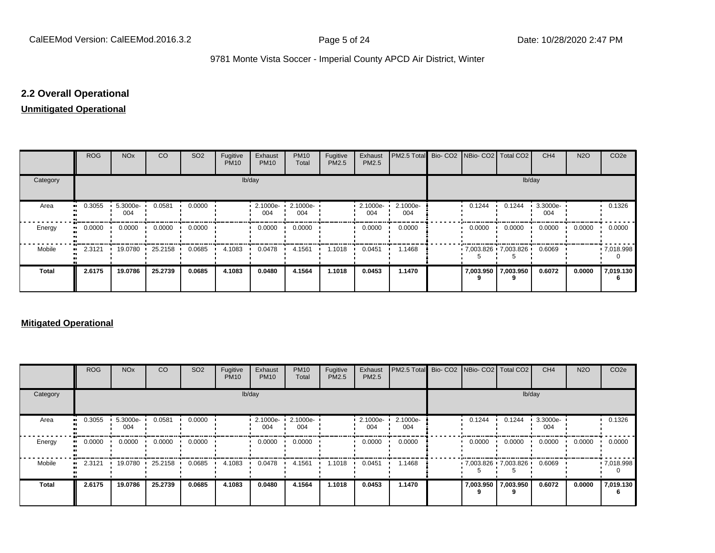## **2.2 Overall Operational**

#### **Unmitigated Operational**

|          | ROG        | <b>NO<sub>x</sub></b> | CO      | SO <sub>2</sub> | Fugitive<br><b>PM10</b> | Exhaust<br><b>PM10</b> | <b>PM10</b><br>Total | Fugitive<br>PM2.5 | Exhaust<br>PM2.5 | PM2.5 Total Bio- CO2 NBio- CO2 Total CO2 |                     |                           | CH <sub>4</sub> | <b>N2O</b> | CO <sub>2e</sub>  |
|----------|------------|-----------------------|---------|-----------------|-------------------------|------------------------|----------------------|-------------------|------------------|------------------------------------------|---------------------|---------------------------|-----------------|------------|-------------------|
| Category |            |                       |         |                 | lb/day                  |                        |                      |                   |                  |                                          |                     | lb/day                    |                 |            |                   |
| Area     | 0.3055<br> | 5.3000e-<br>004       | 0.0581  | 0.0000          |                         | 2.1000e-<br>004        | 2.1000e-<br>004      |                   | 2.1000e-<br>004  | 2.1000e-<br>004                          | 0.1244              | 0.1244                    | 3.3000e-<br>004 |            | 0.1326            |
| Energy   | 0.0000<br> | 0.0000                | 0.0000  | 0.0000          |                         | 0.0000                 | 0.0000               |                   | 0.0000           | 0.0000                                   | 0.0000              | 0.0000                    | 0.0000          | 0.0000     | 0.0000            |
| Mobile   | 2.3121<br> | 19.0780               | 25.2158 | 0.0685          | 4.1083                  | 0.0478                 | 4.1561               | 1.1018            | 0.0451           | 1.1468                                   |                     | $.7,003.826$ $.7,003.826$ | 0.6069          |            | $\cdot$ 7,018.998 |
| Total    | 2.6175     | 19.0786               | 25.2739 | 0.0685          | 4.1083                  | 0.0480                 | 4.1564               | 1.1018            | 0.0453           | 1.1470                                   | 7,003.950 7,003.950 |                           | 0.6072          | 0.0000     | 7,019.130         |

#### **Mitigated Operational**

|              | <b>ROG</b> | <b>NO<sub>x</sub></b> | CO      | SO <sub>2</sub> | Fugitive<br><b>PM10</b> | Exhaust<br><b>PM10</b> | <b>PM10</b><br>Total | Fugitive<br>PM2.5 | Exhaust<br>PM2.5 | <b>IPM2.5 Total</b> Bio- CO2 INBio- CO2 Total CO2 |        |                                             | CH <sub>4</sub> | <b>N2O</b> | CO <sub>2e</sub> |
|--------------|------------|-----------------------|---------|-----------------|-------------------------|------------------------|----------------------|-------------------|------------------|---------------------------------------------------|--------|---------------------------------------------|-----------------|------------|------------------|
| Category     |            |                       |         |                 |                         | lb/day                 |                      |                   |                  |                                                   |        | lb/day                                      |                 |            |                  |
| Area         | 0.3055     | 5.3000e-<br>004       | 0.0581  | 0.0000          |                         | 2.1000e-<br>004        | 2.1000e-<br>004      |                   | 2.1000e ·<br>004 | 2.1000e-<br>004                                   | 0.1244 | 0.1244                                      | 3.3000e-<br>004 |            | 0.1326           |
| Energy       | 0.0000     | 0.0000                | 0.0000  | 0.0000          |                         | 0.0000                 | 0.0000               |                   | 0.0000           | 0.0000                                            | 0.0000 | 0.0000                                      | 0.0000          | 0.0000     | 0.0000           |
| Mobile       | 2.3121     | 19.0780               | 25.2158 | 0.0685          | 4.1083                  | 0.0478                 | 4.1561               | 1.1018            | 0.0451           | 1.1468                                            |        | $\cdot$ 7,003.826 $\cdot$ 7,003.826 $\cdot$ | 0.6069          |            | .7018.998        |
| <b>Total</b> | 2.6175     | 19.0786               | 25.2739 | 0.0685          | 4.1083                  | 0.0480                 | 4.1564               | 1.1018            | 0.0453           | 1.1470                                            | 9      | 7,003.950 7,003.950                         | 0.6072          | 0.0000     | 7,019.130        |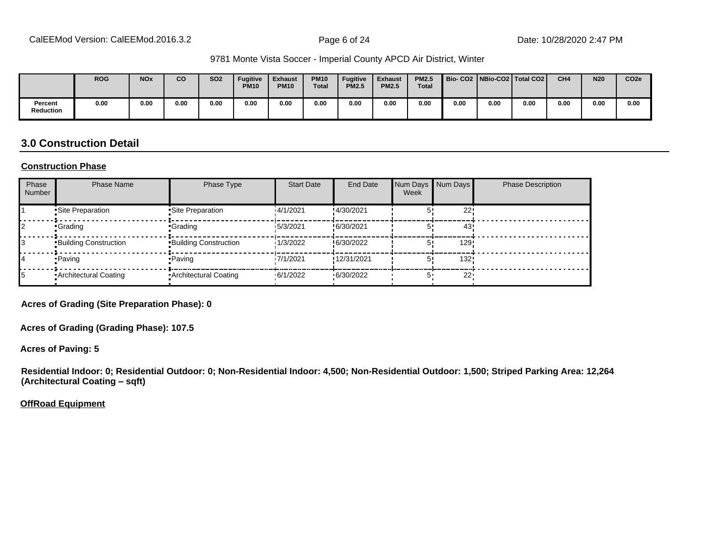|                      | <b>ROG</b> | <b>NO<sub>x</sub></b> | <b>CO</b> | <b>SO2</b> | <b>Fugitive</b><br><b>PM10</b> | <b>Exhaust</b><br><b>PM10</b> | <b>PM10</b><br><b>Total</b> | <b>Fugitive</b><br><b>PM2.5</b> | <b>Exhaust</b><br><b>PM2.5</b> | <b>PM2.5</b><br><b>Total</b> |      |      | Bio-CO2   NBio-CO2   Total CO2 | CH <sub>4</sub> | <b>N20</b> | CO <sub>2e</sub> |
|----------------------|------------|-----------------------|-----------|------------|--------------------------------|-------------------------------|-----------------------------|---------------------------------|--------------------------------|------------------------------|------|------|--------------------------------|-----------------|------------|------------------|
| Percent<br>Reduction | 0.00       | 0.00                  | 0.00      | 0.00       | 0.00                           | 0.00                          | 0.00                        | 0.00                            | 0.00                           | 0.00                         | 0.00 | 0.00 | 0.00                           | 0.00            | 0.00       | 0.00             |

#### **3.0 Construction Detail**

#### **Construction Phase**

| Phase<br><b>Number</b> | <b>Phase Name</b>            | Phase Type                   | <b>Start Date</b> | <b>End Date</b> | Num Days<br>Week | Num Days | <b>Phase Description</b> |
|------------------------|------------------------------|------------------------------|-------------------|-----------------|------------------|----------|--------------------------|
|                        | Site Preparation             | •Site Preparation            | 14/1/2021         | !4/30/2021      |                  | 22!      |                          |
|                        | •Grading                     | •Grading                     | 15/3/2021         | !6/30/2021      |                  | 43       |                          |
|                        | <b>Building Construction</b> | <b>Building Construction</b> | 1/3/2022          | !6/30/2022      |                  | 129      |                          |
|                        | • Paving                     | • Paving                     | 17/1/2021         | !12/31/2021     |                  | 132!     |                          |
|                        | Architectural Coating        | • Architectural Coating      | .6/1/2022         | .6/30/2022      |                  | 22'      |                          |

**Acres of Grading (Site Preparation Phase): 0**

**Acres of Grading (Grading Phase): 107.5**

**Acres of Paving: 5**

**Residential Indoor: 0; Residential Outdoor: 0; Non-Residential Indoor: 4,500; Non-Residential Outdoor: 1,500; Striped Parking Area: 12,264 (Architectural Coating ±sqft)**

**OffRoad Equipment**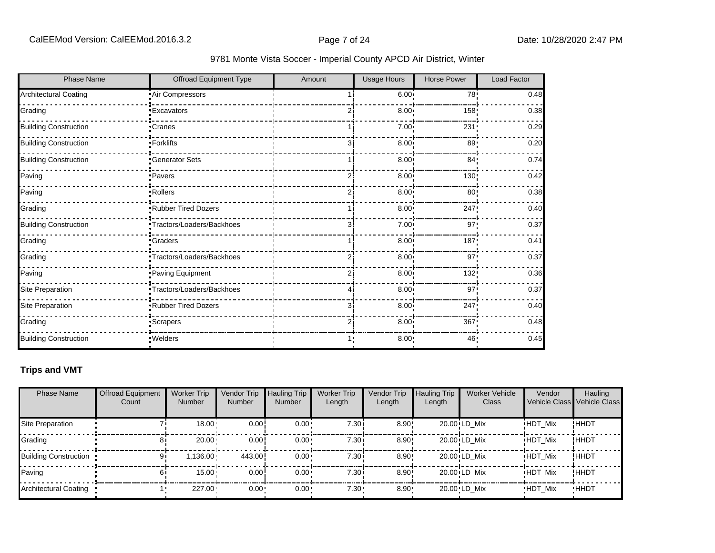| <b>Phase Name</b>            | <b>Offroad Equipment Type</b> | Amount | <b>Usage Hours</b> | <b>Horse Power</b> | <b>Load Factor</b> |
|------------------------------|-------------------------------|--------|--------------------|--------------------|--------------------|
| <b>Architectural Coating</b> | Air Compressors               |        | 6.00:              | 78!                | 0.48               |
| Grading                      | <b>Excavators</b>             |        | 8.00               | 158!               | 0.38               |
| <b>Building Construction</b> | Cranes                        |        | 7.00               | 231                | 0.29               |
| <b>Building Construction</b> | ·Forklifts                    | 31     | 8.00               | 89!                | 0.20               |
| <b>Building Construction</b> | <b>Generator Sets</b>         |        | 8.00 <sub>1</sub>  | 84 <sub>1</sub>    | 0.74               |
| Paving                       | Pavers                        |        | 8.00               | 130                | 0.42               |
| Paving                       | Rollers                       | 2      | 8.00               | 80 <sub>1</sub>    | 0.38               |
| Grading                      | Rubber Tired Dozers           |        | 8.00               | 247                | 0.40               |
| <b>Building Construction</b> | Tractors/Loaders/Backhoes     | 3      | 7.00               | 97                 | 0.37               |
| Grading                      | <b>Graders</b>                |        | 8.00               | 187                | 0.41               |
| Grading                      | Tractors/Loaders/Backhoes     |        | 8.00               | 97                 | 0.37               |
| Paving                       | Paving Equipment              | 2      | 8.00               | 132!               | 0.36               |
| Site Preparation             | Tractors/Loaders/Backhoes     |        | 8.00               | 97'                | 0.37               |
| Site Preparation             | Rubber Tired Dozers           | 3      | 8.00               | 247                | 0.40               |
| Grading                      | <b>Scrapers</b>               | 2      | 8.00               | 367                | 0.48               |
| <b>Building Construction</b> | · Welders                     |        | $8.00 -$           | 46                 | 0.45               |

### **Trips and VMT**

| <b>Phase Name</b>       | <b>Offroad Equipment</b><br>Count | <b>Worker Trip</b><br><b>Number</b> | Vendor Trip<br><b>Number</b> | <b>Hauling Trip</b><br><b>Number</b> | <b>Worker Trip</b><br>Length | <b>Vendor Trip</b><br>Length | <b>Hauling Trip</b><br>Length | <b>Worker Vehicle</b><br>Class | Vendor         | Hauling<br>Vehicle Class Vehicle Class |
|-------------------------|-----------------------------------|-------------------------------------|------------------------------|--------------------------------------|------------------------------|------------------------------|-------------------------------|--------------------------------|----------------|----------------------------------------|
| Site Preparation        |                                   | $18.00 \cdot$                       | 0.00!                        | $0.00 \cdot$                         | 7.30i                        | 8.90!                        |                               | 20.00 LD Mix                   | <b>HDT Mix</b> | !HHDT                                  |
| Grading                 | 81                                | $20.00 \cdot$                       | 0.00!                        | $0.00 \cdot$                         | 7.30i                        | $8.90$ !                     |                               | 20.00 LD Mix                   | <b>HDT Mix</b> | !HHDT                                  |
| Building Construction . | 91                                | $1.136.00 -$                        | 443.00                       | $0.00 \cdot$                         | 7.30i                        | $8.90$ !                     |                               | 20.00 LD Mix                   | <b>HDT Mix</b> | !HHDT                                  |
| Paving                  |                                   | $15.00 \cdot$                       | 0.00!                        | $0.00 \cdot$                         | 7.30i                        | 8.90!                        |                               | 20.00 LD Mix                   | <b>HDT Mix</b> | !HHDT                                  |
| Architectural Coating   |                                   | $227.00 -$                          | $0.00 \cdot$                 | $0.00 \cdot$                         | $7.30 -$                     | $8.90 -$                     |                               | 20.00 LD Mix                   | <b>HDT Mix</b> | <b>HHDT</b>                            |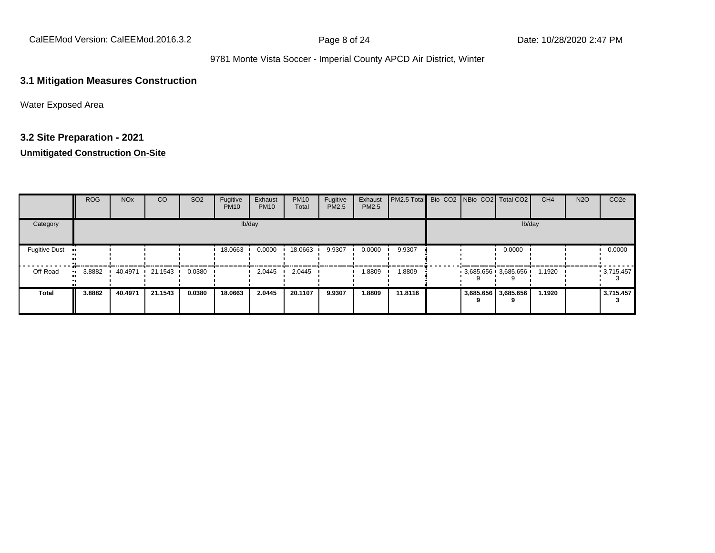CalEEMod Version: CalEEMod.2016.3.2 <br>
Page 8 of 24 Date: 10/28/2020 2:47 PM

#### 9781 Monte Vista Soccer - Imperial County APCD Air District, Winter

#### **3.1 Mitigation Measures Construction**

Water Exposed Area

## **3.2 Site Preparation - 2021**

|                      | ROG    | <b>NO<sub>x</sub></b> | CO                      | SO <sub>2</sub> | Fugitive<br><b>PM10</b> | Exhaust<br><b>PM10</b> | <b>PM10</b><br>Total | Fugitive<br>PM2.5 | Exhaust<br><b>PM2.5</b> | PM2.5 Total Bio- CO2 NBio- CO2   Total CO2 |  |                       | CH <sub>4</sub> | <b>N2O</b> | CO <sub>2e</sub> |
|----------------------|--------|-----------------------|-------------------------|-----------------|-------------------------|------------------------|----------------------|-------------------|-------------------------|--------------------------------------------|--|-----------------------|-----------------|------------|------------------|
| Category             |        |                       |                         |                 |                         | lb/day                 |                      |                   |                         |                                            |  | lb/day                |                 |            |                  |
| <b>Fugitive Dust</b> |        |                       |                         |                 | 18.0663                 | 0.0000                 | 18.0663              | 9.9307            | 0.0000                  | 9.9307                                     |  | 0.0000                |                 |            | 0.0000           |
| Off-Road             | 3.8882 | 40.4971               | $\cdot$ 21.1543 $\cdot$ | 0.0380          |                         | 2.0445                 | 2.0445               |                   | 1.8809                  | 1.8809                                     |  | $3,685.656$ 3,685.656 | 1.1920          |            | $-3,715.457$     |
| <b>Total</b>         | 3.8882 | 40.4971               | 21.1543                 | 0.0380          | 18.0663                 | 2.0445                 | 20.1107              | 9.9307            | 1.8809                  | 11.8116                                    |  | 3,685.656 3,685.656   | 1.1920          |            | 3,715.457        |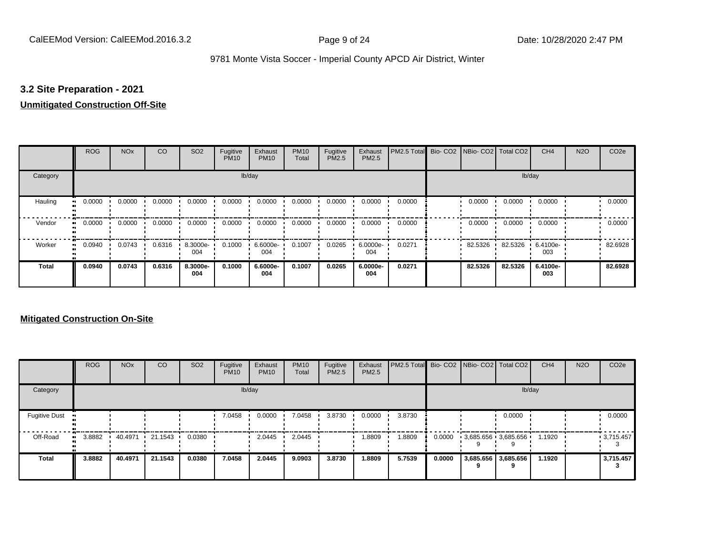#### **3.2 Site Preparation - 2021**

#### **Unmitigated Construction Off-Site**

|                      | <b>ROG</b> | <b>NO<sub>x</sub></b> | CO     | SO <sub>2</sub> | Fugitive<br><b>PM10</b> | Exhaust<br><b>PM10</b> | <b>PM10</b><br>Total | Fugitive<br><b>PM2.5</b> | Exhaust<br>PM2.5 | PM2.5 Total Bio- CO2 NBio- CO2 Total CO2 |         |         | CH <sub>4</sub> | <b>N2O</b> | CO <sub>2e</sub> |
|----------------------|------------|-----------------------|--------|-----------------|-------------------------|------------------------|----------------------|--------------------------|------------------|------------------------------------------|---------|---------|-----------------|------------|------------------|
| Category             |            |                       |        |                 |                         | lb/day                 |                      |                          |                  |                                          |         | lb/day  |                 |            |                  |
| Hauling<br>$\bullet$ | 0.0000     | 0.0000                | 0.0000 | 0.0000          | 0.0000                  | 0.0000                 | 0.0000               | 0.0000                   | 0.0000           | 0.0000                                   | 0.0000  | 0.0000  | 0.0000          |            | 0.0000           |
| Vendor<br>$\bullet$  | 0.0000     | 0.0000                | 0.0000 | 0.0000          | 0.0000                  | 0.0000                 | 0.0000               | 0.0000                   | 0.0000           | 0.0000                                   | 0.0000  | 0.0000  | 0.0000          |            | 0.0000           |
| Worker<br>$\bullet$  | 0.0940     | 0.0743                | 0.6316 | 8.3000e-<br>004 | 0.1000                  | 6.6000e-<br>004        | 0.1007               | 0.0265                   | 6.0000e-<br>004  | 0.0271                                   | 82.5326 | 82.5326 | 6.4100e-<br>003 |            | 82.6928          |
| <b>Total</b>         | 0.0940     | 0.0743                | 0.6316 | 8.3000e-<br>004 | 0.1000                  | 6.6000e-<br>004        | 0.1007               | 0.0265                   | 6.0000e-<br>004  | 0.0271                                   | 82.5326 | 82.5326 | 6.4100e-<br>003 |            | 82.6928          |

|                      | <b>ROG</b> | <b>NO<sub>x</sub></b> | CO      | SO <sub>2</sub> | Fugitive<br><b>PM10</b> | Exhaust<br><b>PM10</b> | <b>PM10</b><br>Total | Fugitive<br><b>PM2.5</b> | Exhaust<br>PM2.5 | PM2.5 Total Bio- CO2 NBio- CO2 Total CO2 |        |                       | CH <sub>4</sub> | <b>N2O</b> | CO <sub>2e</sub> |
|----------------------|------------|-----------------------|---------|-----------------|-------------------------|------------------------|----------------------|--------------------------|------------------|------------------------------------------|--------|-----------------------|-----------------|------------|------------------|
| Category             |            |                       |         |                 |                         | lb/day                 |                      |                          |                  |                                          |        | lb/day                |                 |            |                  |
| <b>Fugitive Dust</b> |            |                       |         |                 | 7.0458                  | 0.0000                 | 7.0458               | 3.8730                   | 0.0000           | 3.8730                                   |        | 0.0000                |                 |            | 0.0000           |
| Off-Road             | 3.8882     | 40.4971               | 21.1543 | 0.0380          |                         | 2.0445                 | 2.0445               |                          | 1.8809           | 1.8809                                   | 0.0000 | $3,685.656$ 3,685.656 | 1.1920          |            | .3715.457        |
| <b>Total</b>         | 3.8882     | 40.4971               | 21.1543 | 0.0380          | 7.0458                  | 2.0445                 | 9.0903               | 3.8730                   | 1.8809           | 5.7539                                   | 0.0000 | 3,685.656 3,685.656   | 1.1920          |            | 3,715.457        |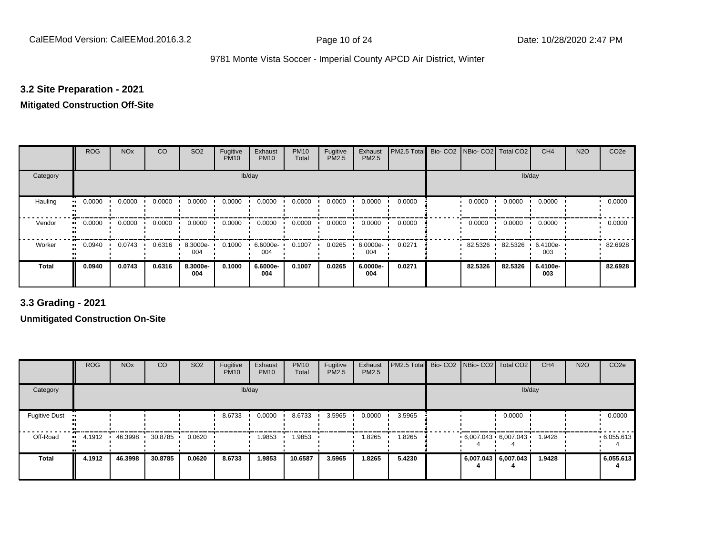#### **3.2 Site Preparation - 2021**

## **Mitigated Construction Off-Site**

|                            | <b>ROG</b> | <b>NO<sub>x</sub></b> | CO     | SO <sub>2</sub> | Fugitive<br><b>PM10</b> | Exhaust<br><b>PM10</b> | <b>PM10</b><br>Total | Fugitive<br>PM2.5 | Exhaust<br>PM2.5 | PM2.5 Total | Bio- CO2   NBio- CO2   Total CO2 |         | CH <sub>4</sub> | <b>N2O</b> | CO <sub>2e</sub> |
|----------------------------|------------|-----------------------|--------|-----------------|-------------------------|------------------------|----------------------|-------------------|------------------|-------------|----------------------------------|---------|-----------------|------------|------------------|
| Category                   |            |                       |        |                 |                         | lb/day                 |                      |                   |                  |             |                                  | lb/day  |                 |            |                  |
| Hauling<br>$\bullet$       | 0.0000     | 0.0000                | 0.0000 | 0.0000          | 0.0000                  | 0.0000                 | 0.0000               | 0.0000            | 0.0000           | 0.0000      | 0.0000                           | 0.0000  | 0.0000          |            | 0.0000           |
| Vendor<br>$\bullet$        | 0.0000     | 0.0000                | 0.0000 | 0.0000          | 0.0000                  | 0.0000                 | 0.0000               | 0.0000            | 0.0000           | 0.0000      | 0.0000                           | 0.0000  | 0.0000          |            | 0.0000           |
| Worker<br>$\bullet\bullet$ | 0.0940     | 0.0743                | 0.6316 | 8.3000e-<br>004 | 0.1000                  | 6.6000e-<br>004        | 0.1007               | 0.0265            | 6.0000e-<br>004  | 0.0271      | 82.5326                          | 82.5326 | 6.4100e-<br>003 |            | 82.6928          |
| <b>Total</b>               | 0.0940     | 0.0743                | 0.6316 | 8.3000e-<br>004 | 0.1000                  | 6.6000e-<br>004        | 0.1007               | 0.0265            | 6.0000e-<br>004  | 0.0271      | 82.5326                          | 82.5326 | 6.4100e-<br>003 |            | 82.6928          |

**3.3 Grading - 2021**

|                      | <b>ROG</b> | <b>NO<sub>x</sub></b> | CO      | SO <sub>2</sub> | Fugitive<br><b>PM10</b> | Exhaust<br><b>PM10</b> | <b>PM10</b><br>Total | Fugitive<br><b>PM2.5</b> | Exhaust<br>PM2.5 | PM2.5 Total Bio- CO2 NBio- CO2 Total CO2 |  |                                          | CH <sub>4</sub> | <b>N2O</b> | CO <sub>2e</sub> |
|----------------------|------------|-----------------------|---------|-----------------|-------------------------|------------------------|----------------------|--------------------------|------------------|------------------------------------------|--|------------------------------------------|-----------------|------------|------------------|
| Category             |            |                       |         |                 |                         | lb/day                 |                      |                          |                  |                                          |  | lb/day                                   |                 |            |                  |
| <b>Fugitive Dust</b> |            |                       |         |                 | 8.6733                  | 0.0000                 | 8.6733               | 3.5965                   | 0.0000           | 3.5965                                   |  | 0.0000                                   |                 |            | 0.0000           |
| Off-Road             | 4.1912     | 46.3998               | 30.8785 | 0.0620          |                         | .9853                  | 1.9853               |                          | 1.8265           | 1.8265                                   |  | $6,007.043 \cdot 6,007.043 \cdot 1.9428$ |                 |            | .6055.613        |
| <b>Total</b>         | 4.1912     | 46.3998               | 30.8785 | 0.0620          | 8.6733                  | 1.9853                 | 10.6587              | 3.5965                   | 1.8265           | 5.4230                                   |  | 6,007.043 6,007.043                      | 1.9428          |            | 6,055.613        |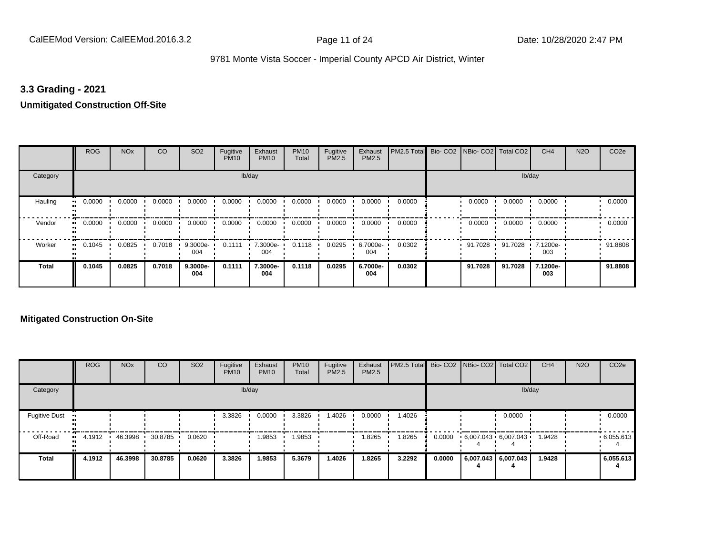#### **3.3 Grading - 2021**

#### **Unmitigated Construction Off-Site**

|                            | <b>ROG</b> | <b>NO<sub>x</sub></b> | CO     | SO <sub>2</sub> | Fugitive<br><b>PM10</b> | Exhaust<br><b>PM10</b> | <b>PM10</b><br>Total | Fugitive<br>PM2.5 | Exhaust<br>PM2.5 | PM2.5 Total Bio- CO2 NBio- CO2 Total CO2 |         |         | CH <sub>4</sub> | <b>N2O</b> | CO <sub>2e</sub> |
|----------------------------|------------|-----------------------|--------|-----------------|-------------------------|------------------------|----------------------|-------------------|------------------|------------------------------------------|---------|---------|-----------------|------------|------------------|
| Category                   |            |                       |        |                 |                         | lb/day                 |                      |                   |                  |                                          |         | lb/day  |                 |            |                  |
| Hauling<br>$\bullet$       | 0.0000     | 0.0000                | 0.0000 | 0.0000          | 0.0000                  | 0.0000                 | 0.0000               | 0.0000            | 0.0000           | 0.0000                                   | 0.0000  | 0.0000  | 0.0000          |            | 0.0000           |
| Vendor<br>$\bullet\bullet$ | 0.0000     | 0.0000                | 0.0000 | 0.0000          | 0.0000                  | 0.0000                 | 0.0000               | 0.0000            | 0.0000           | 0.0000                                   | 0.0000  | 0.0000  | 0.0000          |            | 0.0000           |
| Worker<br>$\bullet\bullet$ | 0.1045     | 0.0825                | 0.7018 | 9.3000e-<br>004 | 0.1111                  | 7.3000e-<br>004        | 0.1118               | 0.0295            | 6.7000e-<br>004  | 0.0302                                   | 91.7028 | 91.7028 | 7.1200e-<br>003 |            | 91.8808          |
| <b>Total</b>               | 0.1045     | 0.0825                | 0.7018 | 9.3000e-<br>004 | 0.1111                  | 7.3000e-<br>004        | 0.1118               | 0.0295            | 6.7000e-<br>004  | 0.0302                                   | 91.7028 | 91.7028 | 7.1200e-<br>003 |            | 91.8808          |

|                      | <b>ROG</b> | <b>NO<sub>x</sub></b> | <b>CO</b> | SO <sub>2</sub> | Fugitive<br><b>PM10</b> | Exhaust<br><b>PM10</b> | <b>PM10</b><br>Total | Fugitive<br><b>PM2.5</b> | Exhaust<br><b>PM2.5</b> | <b>PM2.5 Total</b> Bio- CO2 NBio- CO2 Total CO2 |        |                             |                     | CH <sub>4</sub> | <b>N2O</b> | CO <sub>2e</sub> |
|----------------------|------------|-----------------------|-----------|-----------------|-------------------------|------------------------|----------------------|--------------------------|-------------------------|-------------------------------------------------|--------|-----------------------------|---------------------|-----------------|------------|------------------|
| Category             |            |                       |           |                 |                         | lb/day                 |                      |                          |                         |                                                 |        |                             | lb/day              |                 |            |                  |
| <b>Fugitive Dust</b> |            |                       |           |                 | 3.3826                  | 0.0000                 | 3.3826               | 1.4026                   | 0.0000                  | 1.4026                                          |        |                             | 0.0000              |                 |            | 0.0000           |
| Off-Road             | 4.1912<br> | 46.3998               | 30.8785   | 0.0620          |                         | 1.9853                 | 1.9853               |                          | 1.8265                  | 1.8265                                          | 0.0000 | $6,007.043 \cdot 6,007.043$ |                     | 1.9428          |            | .6,055.613       |
| Total                | 4.1912     | 46.3998               | 30.8785   | 0.0620          | 3.3826                  | 1.9853                 | 5.3679               | 1.4026                   | 1.8265                  | 3.2292                                          | 0.0000 |                             | 6,007.043 6,007.043 | 1.9428          |            | 6,055.613        |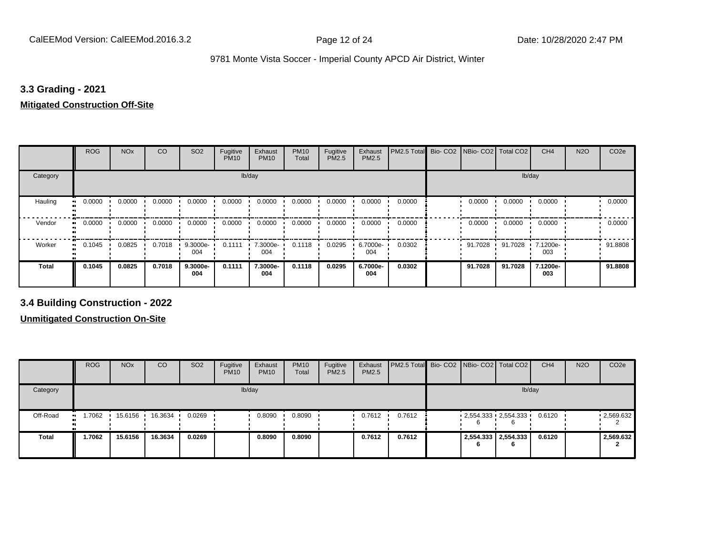#### **3.3 Grading - 2021**

## **Mitigated Construction Off-Site**

|                     | <b>ROG</b> | <b>NO<sub>x</sub></b> | CO     | SO <sub>2</sub> | Fugitive<br><b>PM10</b> | Exhaust<br><b>PM10</b> | <b>PM10</b><br>Total | Fugitive<br>PM2.5 | Exhaust<br>PM2.5 | PM2.5 Total | Bio-CO <sub>2</sub> | NBio- CO2   Total CO2 |         | CH <sub>4</sub> | <b>N2O</b> | CO <sub>2e</sub> |
|---------------------|------------|-----------------------|--------|-----------------|-------------------------|------------------------|----------------------|-------------------|------------------|-------------|---------------------|-----------------------|---------|-----------------|------------|------------------|
| Category            |            |                       |        |                 | lb/day                  |                        |                      |                   |                  |             |                     |                       | lb/day  |                 |            |                  |
| Hauling             | 0.0000     | 0.0000                | 0.0000 | 0.0000          | 0.0000                  | 0.0000                 | 0.0000               | 0.0000            | 0.0000           | 0.0000      |                     | 0.0000                | 0.0000  | 0.0000          |            | 0.0000           |
| Vendor<br>$\bullet$ | 0.0000     | 0.0000                | 0.0000 | 0.0000          | 0.0000                  | 0.0000                 | 0.0000               | 0.0000            | 0.0000           | 0.0000      |                     | 0.0000                | 0.0000  | 0.0000          |            | 0.0000           |
| Worker<br>$\bullet$ | 0.1045     | 0.0825                | 0.7018 | 9.3000e-<br>004 | 0.1111                  | 7.3000e-<br>004        | 0.1118               | 0.0295            | 6.7000e-<br>004  | 0.0302      |                     | 91.7028               | 91.7028 | 7.1200e-<br>003 |            | 91.8808          |
| <b>Total</b>        | 0.1045     | 0.0825                | 0.7018 | 9.3000e-<br>004 | 0.1111                  | 7.3000e-<br>004        | 0.1118               | 0.0295            | 6.7000e-<br>004  | 0.0302      |                     | 91.7028               | 91.7028 | 7.1200e-<br>003 |            | 91.8808          |

**3.4 Building Construction - 2022**

|              | <b>ROG</b> | <b>NO<sub>x</sub></b> | CO      | SO <sub>2</sub> | Fugitive<br><b>PM10</b> | Exhaust<br><b>PM10</b> | <b>PM10</b><br>Total | Fugitive<br><b>PM2.5</b> | Exhaust<br>PM2.5 | <b>PM2.5 Total</b> Bio- CO2 NBio- CO2   Total CO2 |                               |                     | CH <sub>4</sub> | <b>N2O</b> | CO <sub>2e</sub> |
|--------------|------------|-----------------------|---------|-----------------|-------------------------|------------------------|----------------------|--------------------------|------------------|---------------------------------------------------|-------------------------------|---------------------|-----------------|------------|------------------|
| Category     |            |                       |         |                 |                         | lb/day                 |                      |                          |                  |                                                   |                               |                     | lb/day          |            |                  |
| Off-Road     | 1.7062     | 15.6156               | 16.3634 | 0.0269          |                         | 0.8090                 | 0.8090               |                          | 0.7612           | 0.7612                                            | $-2,554.333 - 2,554.333$<br>b |                     | 0.6120          |            | .2,569.632       |
| <b>Total</b> | 1.7062     | 15.6156               | 16.3634 | 0.0269          |                         | 0.8090                 | 0.8090               |                          | 0.7612           | 0.7612                                            | 'n                            | 2,554.333 2,554.333 | 0.6120          |            | 2,569.632        |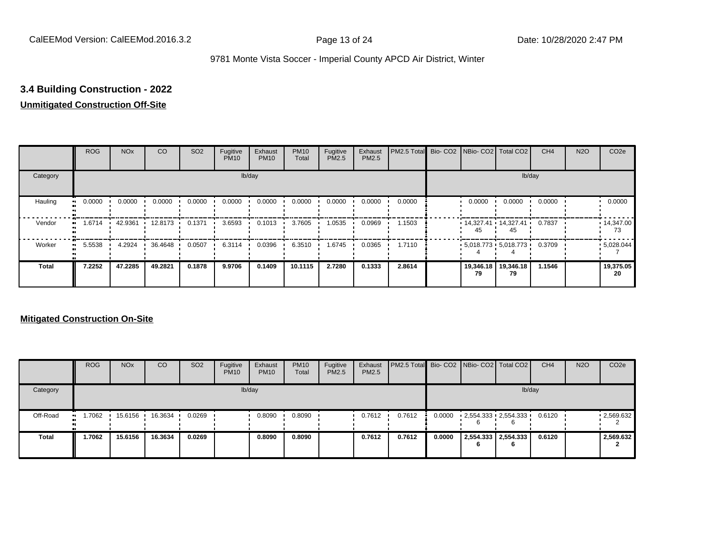## **3.4 Building Construction - 2022**

### **Unmitigated Construction Off-Site**

|                        | <b>ROG</b> | <b>NO<sub>x</sub></b> | CO        | SO <sub>2</sub> | Fugitive<br><b>PM10</b> | Exhaust<br><b>PM10</b> | <b>PM10</b><br>Total | Fugitive<br><b>PM2.5</b> | Exhaust<br>PM2.5 | PM2.5 Total Bio- CO2 NBio- CO2 Total CO2 |                 |                             | CH <sub>4</sub> | <b>N2O</b> | CO <sub>2e</sub>        |
|------------------------|------------|-----------------------|-----------|-----------------|-------------------------|------------------------|----------------------|--------------------------|------------------|------------------------------------------|-----------------|-----------------------------|-----------------|------------|-------------------------|
| Category               |            |                       |           |                 |                         | lb/day                 |                      |                          |                  |                                          |                 |                             | lb/day          |            |                         |
| Hauling<br>œ           | 0.0000     | 0.0000                | 0.0000    | 0.0000          | 0.0000                  | 0.0000                 | 0.0000               | 0.0000                   | 0.0000           | 0.0000                                   | 0.0000          | 0.0000                      | 0.0000          |            | 0.0000                  |
| Vendor<br>œ            | 1.6714     | 42.9361               | 12.8173 • | 0.1371          | 3.6593                  | 0.1013                 | 3.7605               | 1.0535                   | 0.0969           | 1.1503                                   |                 | $14,327.41$ 14,327.41<br>45 | 0.7837          |            | $\cdot$ 14,347.00<br>73 |
| Worker<br>$\mathbf{u}$ | 5.5538     | 4.2924                | 36.4648   | 0.0507          | 6.3114                  | 0.0396                 | 6.3510               | 1.6745                   | 0.0365           | 1.7110                                   |                 | $5,018.773$ 5,018.773       | 0.3709          |            | .5028.044               |
| Total                  | 7.2252     | 47.2285               | 49.2821   | 0.1878          | 9.9706                  | 0.1409                 | 10.1115              | 2.7280                   | 0.1333           | 2.8614                                   | 19,346.18<br>79 | 19,346.18<br>79             | 1.1546          |            | 19,375.05<br>20         |

|              | <b>ROG</b>                 | <b>NO<sub>x</sub></b> | CO      | SO <sub>2</sub> | Fugitive<br><b>PM10</b> | Exhaust<br><b>PM10</b> | <b>PM10</b><br>Total | Fugitive<br>PM2.5 | Exhaust<br><b>PM2.5</b> | <b>PM2.5 Total</b> Bio- CO2 NBio- CO2 Total CO2 |        |                                 |                          | CH <sub>4</sub> | <b>N2O</b> | CO <sub>2</sub> e |
|--------------|----------------------------|-----------------------|---------|-----------------|-------------------------|------------------------|----------------------|-------------------|-------------------------|-------------------------------------------------|--------|---------------------------------|--------------------------|-----------------|------------|-------------------|
| Category     |                            |                       |         |                 |                         | lb/day                 |                      |                   |                         |                                                 |        |                                 |                          | lb/day          |            |                   |
| Off-Road     | 1.7062<br>$\bullet\bullet$ | 15.6156               | 16.3634 | 0.0269          |                         | 0.8090                 | 0.8090               |                   | 0.7612                  | 0.7612                                          | 0.0000 | $2,554.333$ $2,554.333$ $\cdot$ | 6                        | 0.6120          |            | $-2,569.632$      |
| <b>Total</b> | 1.7062                     | 15.6156               | 16.3634 | 0.0269          |                         | 0.8090                 | 0.8090               |                   | 0.7612                  | 0.7612                                          | 0.0000 |                                 | 2,554.333 2,554.333<br>6 | 0.6120          |            | 2,569.632         |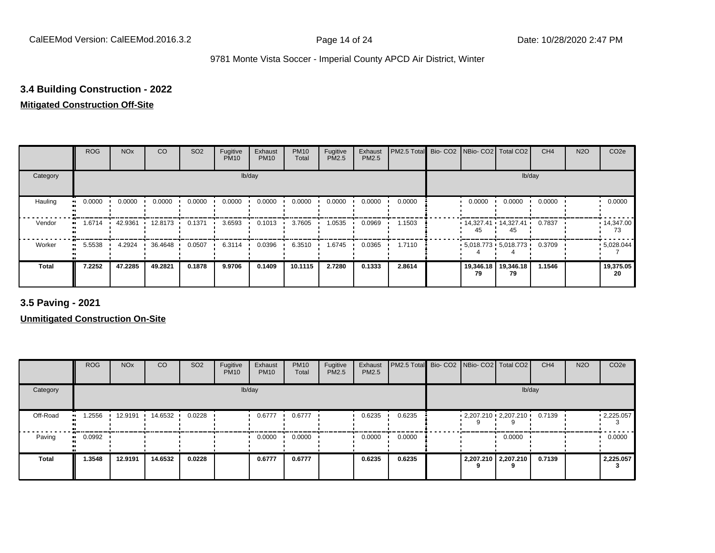### **3.4 Building Construction - 2022**

#### **Mitigated Construction Off-Site**

|                            | <b>ROG</b> | <b>NO<sub>x</sub></b> | CO        | SO <sub>2</sub> | Fugitive<br><b>PM10</b> | Exhaust<br><b>PM10</b> | <b>PM10</b><br>Total | Fugitive<br>PM2.5 | Exhaust<br>PM2.5 | PM2.5 Total | Bio- CO2 NBio- CO2   Total CO2  |                 | CH <sub>4</sub> | <b>N2O</b> | CO <sub>2e</sub>        |
|----------------------------|------------|-----------------------|-----------|-----------------|-------------------------|------------------------|----------------------|-------------------|------------------|-------------|---------------------------------|-----------------|-----------------|------------|-------------------------|
| Category                   |            |                       |           |                 |                         | lb/day                 |                      |                   |                  |             |                                 | lb/day          |                 |            |                         |
| Hauling<br>$\bullet$       | 0.0000     | 0.0000                | 0.0000    | 0.0000          | 0.0000                  | 0.0000                 | 0.0000               | 0.0000            | 0.0000           | 0.0000      | 0.0000                          | 0.0000          | 0.0000          |            | 0.0000                  |
| Vendor<br>$\bullet$        | 1.6714     | 42.9361               | 12.8173 · | 0.1371          | 3.6593                  | 0.1013                 | 3.7605               | 1.0535            | 0.0969           | 1.1503      | $14,327.41$ 14,327.41<br>45.    | 45              | 0.7837          |            | $\cdot$ 14,347.00<br>73 |
| Worker<br>$\bullet\bullet$ | 5.5538     | 4.2924                | 36.4648   | 0.0507          | 6.3114                  | 0.0396                 | 6.3510               | 1.6745            | 0.0365           | 1.7110      | $5,018.773$ $5,018.773$ $\cdot$ |                 | 0.3709          |            | .5028.044               |
| <b>Total</b>               | 7.2252     | 47.2285               | 49.2821   | 0.1878          | 9.9706                  | 0.1409                 | 10.1115              | 2.7280            | 0.1333           | 2.8614      | 19,346.18<br>79                 | 19,346.18<br>79 | 1.1546          |            | 19,375.05<br>20         |

**3.5 Paving - 2021**

|              | <b>ROG</b>          | <b>NO<sub>x</sub></b> | <b>CO</b> | SO <sub>2</sub> | Fugitive<br><b>PM10</b> | Exhaust<br><b>PM10</b> | <b>PM10</b><br>Total | Fugitive<br><b>PM2.5</b> | Exhaust<br>PM2.5 | PM2.5 Total Bio- CO2 NBio- CO2 Total CO2 |  |                         | CH <sub>4</sub> | <b>N2O</b> | CO <sub>2e</sub> |
|--------------|---------------------|-----------------------|-----------|-----------------|-------------------------|------------------------|----------------------|--------------------------|------------------|------------------------------------------|--|-------------------------|-----------------|------------|------------------|
| Category     |                     |                       |           |                 |                         | lb/day                 |                      |                          |                  |                                          |  | lb/day                  |                 |            |                  |
| Off-Road     | .2556<br>           | 12.9191               | 14.6532   | 0.0228          |                         | 0.6777                 | 0.6777               |                          | 0.6235           | 0.6235                                   |  | $2,207.210$ $2,207.210$ | 0.7139          |            | .2,225.057       |
| Paving       | 0.0992<br>$\bullet$ |                       |           |                 |                         | 0.0000                 | 0.0000               |                          | 0.0000           | 0.0000                                   |  | 0.0000                  |                 |            | 0.0000           |
| <b>Total</b> | 1.3548              | 12.9191               | 14.6532   | 0.0228          |                         | 0.6777                 | 0.6777               |                          | 0.6235           | 0.6235                                   |  | 2,207.210 2,207.210     | 0.7139          |            | 2,225.057        |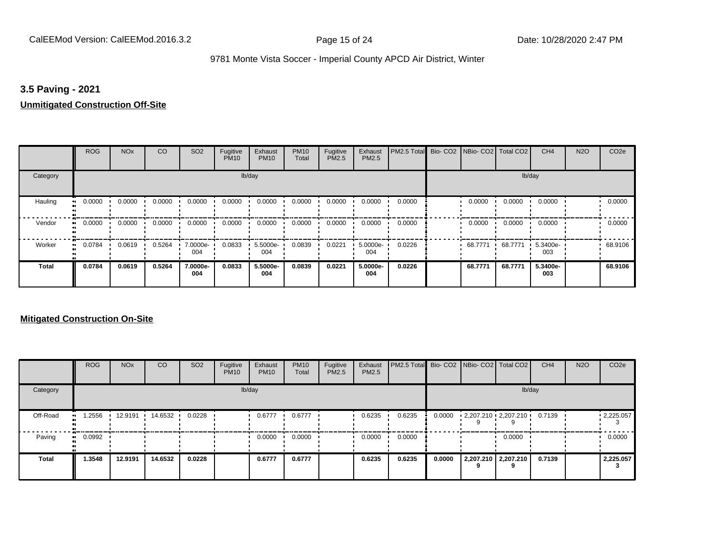#### **3.5 Paving - 2021**

#### **Unmitigated Construction Off-Site**

|                      | <b>ROG</b> | <b>NO<sub>x</sub></b> | CO     | SO <sub>2</sub> | Fugitive<br><b>PM10</b> | Exhaust<br><b>PM10</b> | <b>PM10</b><br>Total | Fugitive<br><b>PM2.5</b> | Exhaust<br>PM2.5 | PM2.5 Total Bio- CO2 NBio- CO2 Total CO2 |         |         | CH <sub>4</sub> | <b>N2O</b> | CO <sub>2e</sub> |
|----------------------|------------|-----------------------|--------|-----------------|-------------------------|------------------------|----------------------|--------------------------|------------------|------------------------------------------|---------|---------|-----------------|------------|------------------|
| Category             |            |                       |        |                 |                         | lb/day                 |                      |                          |                  |                                          |         | lb/day  |                 |            |                  |
| Hauling<br>$\bullet$ | 0.0000     | 0.0000                | 0.0000 | 0.0000          | 0.0000                  | 0.0000                 | 0.0000               | 0.0000                   | 0.0000           | 0.0000                                   | 0.0000  | 0.0000  | 0.0000          |            | 0.0000           |
| Vendor<br>$\bullet$  | 0.0000     | 0.0000                | 0.0000 | 0.0000          | 0.0000                  | 0.0000                 | 0.0000               | 0.0000                   | 0.0000           | 0.0000                                   | 0.0000  | 0.0000  | 0.0000          |            | 0.0000           |
| Worker<br>$\bullet$  | 0.0784     | 0.0619                | 0.5264 | 7.0000e-<br>004 | 0.0833                  | 5.5000e-<br>004        | 0.0839               | 0.0221                   | 5.0000e-<br>004  | 0.0226                                   | 68.7771 | 68.7771 | 5.3400e-<br>003 |            | 68.9106          |
| <b>Total</b>         | 0.0784     | 0.0619                | 0.5264 | 7.0000e-<br>004 | 0.0833                  | 5.5000e-<br>004        | 0.0839               | 0.0221                   | 5.0000e-<br>004  | 0.0226                                   | 68.7771 | 68.7771 | 5.3400e-<br>003 |            | 68,9106          |

|              | <b>ROG</b>   | <b>NO<sub>x</sub></b> | <b>CO</b> | SO <sub>2</sub> | Fugitive<br><b>PM10</b> | Exhaust<br><b>PM10</b> | <b>PM10</b><br>Total | Fugitive<br><b>PM2.5</b> | Exhaust<br><b>PM2.5</b> | <b>PM2.5 Total</b> Bio- CO2 NBio- CO2 Total CO2 |        |                         |                          | CH <sub>4</sub> | <b>N2O</b> | CO <sub>2e</sub>  |
|--------------|--------------|-----------------------|-----------|-----------------|-------------------------|------------------------|----------------------|--------------------------|-------------------------|-------------------------------------------------|--------|-------------------------|--------------------------|-----------------|------------|-------------------|
| Category     |              |                       |           |                 |                         | lb/day                 |                      |                          |                         |                                                 |        |                         |                          | lb/day          |            |                   |
| Off-Road     | .2556<br>    | 12.9191               | 14.6532   | 0.0228          |                         | 0.6777                 | 0.6777               |                          | 0.6235                  | 0.6235                                          | 0.0000 | $2,207.210$ $2,207.210$ |                          | 0.7139          |            | $\cdot$ 2,225.057 |
| Paving       | 0.0992<br>ш. |                       |           |                 |                         | 0.0000                 | 0.0000               |                          | 0.0000                  | 0.0000                                          |        |                         | 0.0000                   |                 |            | 0.0000            |
| <b>Total</b> | 1.3548       | 12.9191               | 14.6532   | 0.0228          |                         | 0.6777                 | 0.6777               |                          | 0.6235                  | 0.6235                                          | 0.0000 |                         | 2,207.210 2,207.210<br>9 | 0.7139          |            | 2,225.057         |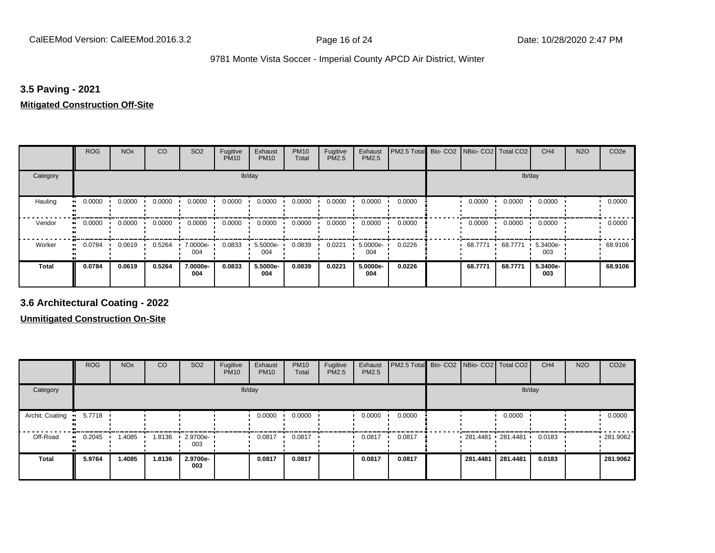#### **3.5 Paving - 2021**

#### **Mitigated Construction Off-Site**

|                           | <b>ROG</b> | <b>NO<sub>x</sub></b> | CO     | SO <sub>2</sub> | Fugitive<br><b>PM10</b> | Exhaust<br><b>PM10</b> | <b>PM10</b><br>Total | Fugitive<br>PM2.5 | Exhaust<br>PM2.5 | PM2.5 Total | Bio- CO2   NBio- CO2   Total CO2 |         | CH <sub>4</sub> | <b>N2O</b> | CO <sub>2e</sub> |
|---------------------------|------------|-----------------------|--------|-----------------|-------------------------|------------------------|----------------------|-------------------|------------------|-------------|----------------------------------|---------|-----------------|------------|------------------|
| Category                  |            |                       |        |                 | lb/day                  |                        |                      |                   |                  |             |                                  | lb/day  |                 |            |                  |
| Hauling<br>$\blacksquare$ | 0.0000     | 0.0000                | 0.0000 | 0.0000          | 0.0000                  | 0.0000                 | 0.0000               | 0.0000            | 0.0000           | 0.0000      | 0.0000                           | 0.0000  | 0.0000          |            | 0.0000           |
| Vendor<br>$\bullet$       | 0.0000     | 0.0000                | 0.0000 | 0.0000          | 0.0000                  | 0.0000                 | 0.0000               | 0.0000            | 0.0000           | 0.0000      | 0.0000                           | 0.0000  | 0.0000          |            | 0.0000           |
| Worker                    | 0.0784     | 0.0619                | 0.5264 | 7.0000e-<br>004 | 0.0833                  | 5.5000e-<br>004        | 0.0839               | 0.0221            | 5.0000e-<br>004  | 0.0226      | 68.7771 .                        | 68.7771 | 5.3400e-<br>003 |            | 68.9106          |
| <b>Total</b>              | 0.0784     | 0.0619                | 0.5264 | 7.0000e-<br>004 | 0.0833                  | 5.5000e-<br>004        | 0.0839               | 0.0221            | 5.0000e-<br>004  | 0.0226      | 68.7771                          | 68.7771 | 5.3400e-<br>003 |            | 68.9106          |

**3.6 Architectural Coating - 2022**

|                 | <b>ROG</b>          | <b>NO<sub>x</sub></b> | CO     | SO <sub>2</sub>                 | Fugitive<br><b>PM10</b> | Exhaust<br><b>PM10</b> | <b>PM10</b><br>Total | Fugitive<br><b>PM2.5</b> | Exhaust<br>PM2.5 | PM2.5 Total Bio- CO2 NBio- CO2 Total CO2 |                     |          | CH <sub>4</sub> | <b>N2O</b> | CO <sub>2e</sub> |
|-----------------|---------------------|-----------------------|--------|---------------------------------|-------------------------|------------------------|----------------------|--------------------------|------------------|------------------------------------------|---------------------|----------|-----------------|------------|------------------|
| Category        |                     |                       |        |                                 |                         | lb/day                 |                      |                          |                  |                                          |                     | lb/day   |                 |            |                  |
| Archit. Coating | 5.7718              |                       |        |                                 |                         | 0.0000                 | 0.0000               |                          | 0.0000           | 0.0000                                   |                     | 0.0000   |                 |            | 0.0000           |
| Off-Road        | 0.2045<br>$\bullet$ | 1.4085                | 1.8136 | $\cdot$ 2.9700e- $\cdot$<br>003 |                         | 0.0817                 | 0.0817               |                          | 0.0817           | 0.0817                                   | $281.4481$ 281.4481 |          | 0.0183          |            | 281.9062         |
| <b>Total</b>    | 5.9764              | 1.4085                | 1.8136 | 2.9700e-<br>003                 |                         | 0.0817                 | 0.0817               |                          | 0.0817           | 0.0817                                   | 281.4481            | 281.4481 | 0.0183          |            | 281.9062         |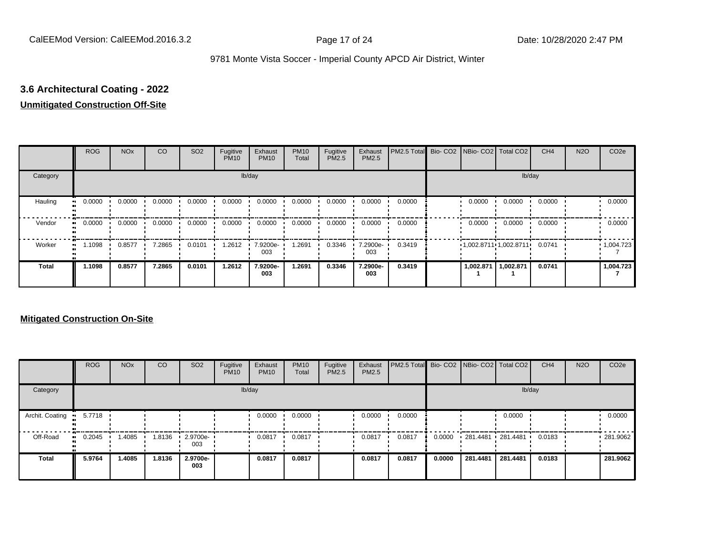## **3.6 Architectural Coating - 2022**

### **Unmitigated Construction Off-Site**

|                           | <b>ROG</b> | <b>NO<sub>x</sub></b> | CO     | SO <sub>2</sub> | Fugitive<br><b>PM10</b> | Exhaust<br><b>PM10</b> | <b>PM10</b><br>Total | Fugitive<br><b>PM2.5</b> | Exhaust<br>PM2.5 | PM2.5 Total Bio- CO2 NBio- CO2 Total CO2 |                        |           | CH <sub>4</sub> | <b>N2O</b> | CO <sub>2e</sub>  |
|---------------------------|------------|-----------------------|--------|-----------------|-------------------------|------------------------|----------------------|--------------------------|------------------|------------------------------------------|------------------------|-----------|-----------------|------------|-------------------|
| Category                  |            |                       |        |                 |                         | lb/day                 |                      |                          |                  |                                          |                        |           | lb/day          |            |                   |
| Hauling<br>$\blacksquare$ | 0.0000     | 0.0000                | 0.0000 | 0.0000          | 0.0000                  | 0.0000                 | 0.0000               | 0.0000                   | 0.0000           | 0.0000                                   | 0.0000                 | 0.0000    | 0.0000          |            | 0.0000            |
| Vendor<br>$\bullet$       | 0.0000     | 0.0000                | 0.0000 | 0.0000          | 0.0000                  | 0.0000                 | 0.0000               | 0.0000                   | 0.0000           | 0.0000                                   | 0.0000                 | 0.0000    | 0.0000          |            | 0.0000            |
| Worker<br>$\bullet$       | 1.1098     | 0.8577                | 7.2865 | 0.0101          | 1.2612                  | 7.9200e-<br>003        | .2691                | 0.3346                   | 7.2900e-<br>003  | 0.3419                                   | 1,002.871111,002.87111 |           | 0.0741          |            | $\cdot$ 1,004.723 |
| <b>Total</b>              | 1.1098     | 0.8577                | 7.2865 | 0.0101          | 1.2612                  | 7.9200e-<br>003        | 1.2691               | 0.3346                   | 7.2900e-<br>003  | 0.3419                                   | 1,002.871              | 1,002.871 | 0.0741          |            | 1,004.723         |

|                 | <b>ROG</b> | <b>NO<sub>x</sub></b> | CO     | SO <sub>2</sub> | Fugitive<br><b>PM10</b> | Exhaust<br><b>PM10</b> | <b>PM10</b><br>Total | Fugitive<br><b>PM2.5</b> | Exhaust<br><b>PM2.5</b> | PM2.5 Total Bio- CO2 NBio- CO2 Total CO2 |        |                   |          | CH <sub>4</sub> | <b>N2O</b> | CO <sub>2e</sub> |
|-----------------|------------|-----------------------|--------|-----------------|-------------------------|------------------------|----------------------|--------------------------|-------------------------|------------------------------------------|--------|-------------------|----------|-----------------|------------|------------------|
| Category        |            |                       |        |                 |                         | lb/day                 |                      |                          |                         |                                          |        |                   | lb/day   |                 |            |                  |
| Archit. Coating | 5.7718     |                       |        |                 |                         | 0.0000                 | 0.0000               |                          | 0.0000                  | 0.0000                                   |        |                   | 0.0000   |                 |            | 0.0000           |
| Off-Road        | 0.2045     | 1.4085                | 1.8136 | 2.9700e-<br>003 |                         | 0.0817                 | 0.0817               |                          | 0.0817                  | 0.0817                                   | 0.0000 | 281.4481 281.4481 |          | 0.0183          |            | .281.9062        |
| <b>Total</b>    | 5.9764     | 1.4085                | 1.8136 | 2.9700e-<br>003 |                         | 0.0817                 | 0.0817               |                          | 0.0817                  | 0.0817                                   | 0.0000 | 281.4481          | 281.4481 | 0.0183          |            | 281.9062         |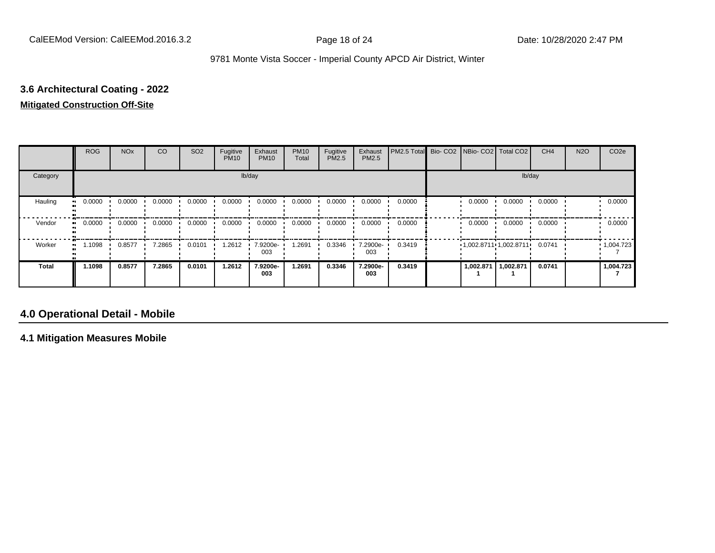# **3.6 Architectural Coating - 2022**

## **Mitigated Construction Off-Site**

|              | <b>ROG</b> | <b>NO<sub>x</sub></b> | CO     | SO <sub>2</sub> | Fugitive<br><b>PM10</b> | Exhaust<br><b>PM10</b> | <b>PM10</b><br>Total | Fugitive<br>PM2.5 | Exhaust<br>PM2.5 | PM2.5 Total | Bio- CO2   NBio- CO2   Total CO2 |                           | CH <sub>4</sub> | <b>N2O</b> | CO <sub>2e</sub>  |
|--------------|------------|-----------------------|--------|-----------------|-------------------------|------------------------|----------------------|-------------------|------------------|-------------|----------------------------------|---------------------------|-----------------|------------|-------------------|
| Category     |            |                       |        |                 |                         | lb/day                 |                      |                   |                  |             |                                  | lb/day                    |                 |            |                   |
| Hauling      | 0.0000     | 0.0000                | 0.0000 | 0.0000          | 0.0000                  | 0.0000                 | 0.0000               | 0.0000            | 0.0000           | 0.0000      | 0.0000                           | 0.0000                    | 0.0000          |            | 0.0000            |
| Vendor       | 0.0000     | 0.0000                | 0.0000 | 0.0000          | 0.0000                  | 0.0000                 | 0.0000               | 0.0000            | 0.0000           | 0.0000      | 0.0000                           | 0.0000                    | 0.0000          |            | 0.0000            |
| Worker       | 1.1098     | 0.8577                | 7.2865 | 0.0101          | 1.2612                  | 7.9200e-<br>003        | .2691                | 0.3346            | 7.2900e-<br>003  | 0.3419      |                                  | $1,002.8711$ $1,002.8711$ | 0.0741          |            | $\cdot$ 1,004.723 |
| <b>Total</b> | 1.1098     | 0.8577                | 7.2865 | 0.0101          | 1.2612                  | 7.9200e-<br>003        | 1.2691               | 0.3346            | 7.2900e-<br>003  | 0.3419      | 1,002.871                        | 1,002.871                 | 0.0741          |            | 1,004.723         |

## **4.0 Operational Detail - Mobile**

**4.1 Mitigation Measures Mobile**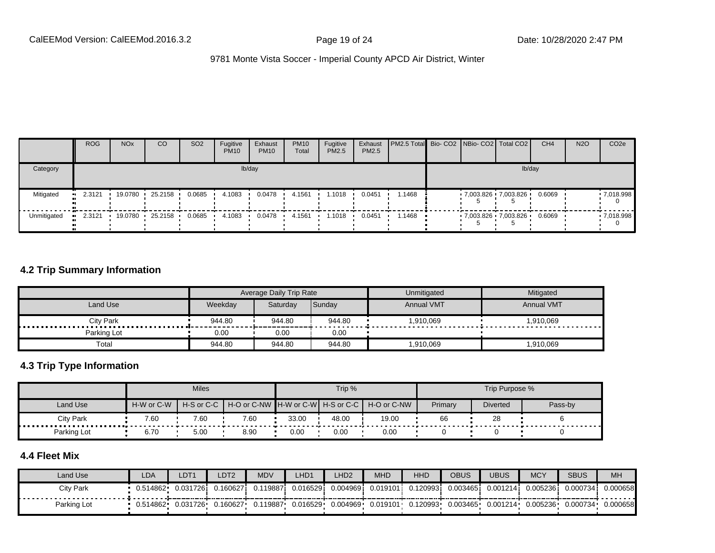|             | <b>ROG</b> | <b>NO<sub>x</sub></b> | CO      | SO <sub>2</sub> | Fugitive<br><b>PM10</b> | Exhaust<br><b>PM10</b> | <b>PM10</b><br>Total | Fugitive<br><b>PM2.5</b> | Exhaust<br>PM2.5 | <b>PM2.5 Total</b> Bio- CO2 NBio- CO2 Total CO2 |  |                     | CH <sub>4</sub> | <b>N2O</b> | CO <sub>2e</sub> |
|-------------|------------|-----------------------|---------|-----------------|-------------------------|------------------------|----------------------|--------------------------|------------------|-------------------------------------------------|--|---------------------|-----------------|------------|------------------|
| Category    |            |                       |         |                 |                         | lb/day                 |                      |                          |                  |                                                 |  | lb/day              |                 |            |                  |
| Mitigated   | 2.3121     | 19.0780               | 25.2158 | 0.0685          | 4.1083                  | 0.0478                 | 4.1561               | .1018                    | 0.0451           | 1.1468                                          |  | 7,003.826 7,003.826 | 0.6069          |            | .7018.998        |
| Unmitigated | 2.3121     | 19.0780               | 25.2158 | 0.0685          | 4.1083                  | 0.0478                 | 4.1561               | . 1018                   | 0.0451           | 1.1468                                          |  | 7,003.826 7,003.826 | 0.6069          |            | .7,018.998       |

#### **4.2 Trip Summary Information**

|                       |         | Average Daily Trip Rate |        | Unmitigated       | Mitigated         |
|-----------------------|---------|-------------------------|--------|-------------------|-------------------|
| Land Use              | Weekdav | Saturday                | Sunday | <b>Annual VMT</b> | <b>Annual VMT</b> |
| <b>City Park</b><br>. | 944.80  | 944.80                  | 944.80 | 1,910,069         | 1,910,069         |
| Parking Lot           | 0.00    | 0.00                    | 0.00   |                   |                   |
| Total                 | 944.80  | 944.80                  | 944.80 | 1,910,069         | 1,910,069         |

#### **4.3 Trip Type Information**

|             |            | <b>Miles</b>               |      |       | Trip % |                                               |         | Trip Purpose %  |         |
|-------------|------------|----------------------------|------|-------|--------|-----------------------------------------------|---------|-----------------|---------|
| Land Use    | H-W or C-W | $H-S$ or $C-C$ $\parallel$ |      |       |        | H-O or C-NW H-W or C-W H-S or C-C H-O or C-NW | Primary | <b>Diverted</b> | Pass-by |
| Citv Park   | 7.60       | 7.60                       | 7.60 | 33.00 | 48.00  | 19.00                                         | 66      | 28              |         |
| Parking Lot | 6.70       | 5.00                       | 8.90 | 0.00  | 0.00   | 0.00                                          |         |                 |         |

#### **4.4 Fleet Mix**

| Land Use    | LDA       | LDT <sub>1</sub> | LDT <sub>2</sub> | <b>MDV</b> | LHD1     | LHD2      | <b>MHD</b> | HHD                                      | <b>OBUS</b>       | UBUS     | <b>MCY</b> | <b>SBUS</b> | <b>MH</b> |
|-------------|-----------|------------------|------------------|------------|----------|-----------|------------|------------------------------------------|-------------------|----------|------------|-------------|-----------|
| City Park   | 0.514862  | 0.0317261        | 0.160627         | 0.119887i  | 0.016529 | 0.0049691 | 0.019101   | 0.120993i                                | 0.003465 <b>i</b> | 0.001214 | 0.0052361  | 0.000734    | 0.000658  |
| Parking Lot | 0.514862• | 0.031726         | 0.160627         | 0.119887   | 0.016529 | 0.004969  |            | $0.019101 \cdot 0.120993 \cdot 0.003465$ |                   | 0.001214 | 0.005236   | 0.000734    | 0.000658  |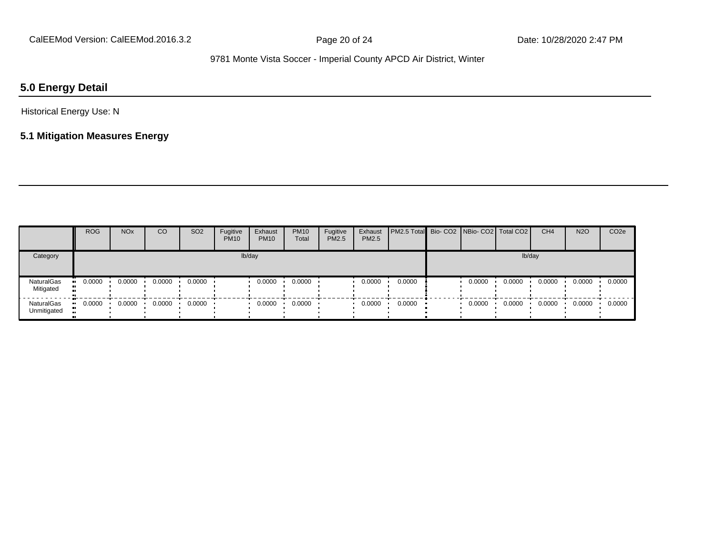## **5.0 Energy Detail**

Historical Energy Use: N

## **5.1 Mitigation Measures Energy**

|                           | <b>ROG</b> | <b>NO<sub>x</sub></b> | <sub>CO</sub> | <b>SO2</b> | Fugitive<br><b>PM10</b> | Exhaust<br><b>PM10</b> | <b>PM10</b><br>Total | Fugitive<br>PM2.5 | Exhaust<br>PM2.5 | PM2.5 Total  Bio- CO2   NBio- CO2   Total CO2 |        |        | CH <sub>4</sub> | <b>N2O</b> | CO <sub>2e</sub> |
|---------------------------|------------|-----------------------|---------------|------------|-------------------------|------------------------|----------------------|-------------------|------------------|-----------------------------------------------|--------|--------|-----------------|------------|------------------|
| Category                  |            |                       |               |            |                         | lb/day                 |                      |                   |                  |                                               |        | lb/day |                 |            |                  |
| NaturalGas<br>Mitigated   | 0.0000     | 0.0000                | 0.0000        | 0.0000     |                         | 0.0000                 | 0.0000               |                   | 0.0000           | 0.0000                                        | 0.0000 | 0.0000 | 0.0000          | 0.0000     | 0.0000           |
| NaturalGas<br>Unmitigated | 0.0000     | 0.0000                | 0.0000        | 0.0000     |                         | 0.0000                 | 0.0000               |                   | 0.0000           | 0.0000                                        | 0.0000 | 0.0000 | 0.0000          | 0.0000     | 0.0000           |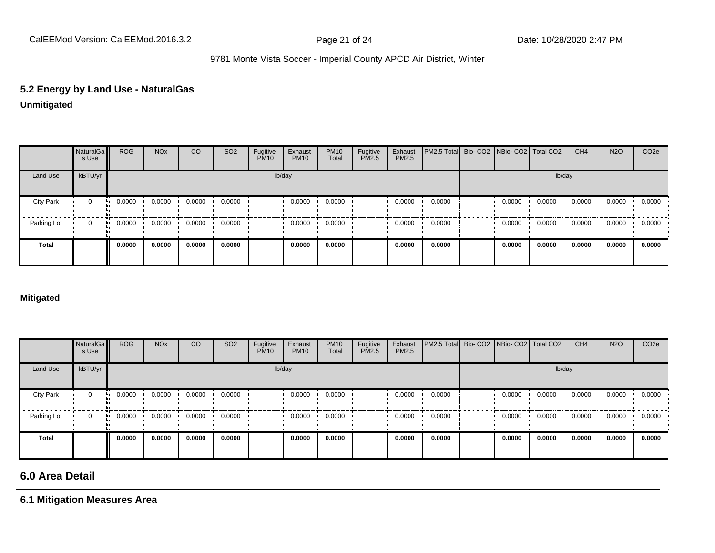## **5.2 Energy by Land Use - NaturalGas**

#### **Unmitigated**

|                  | NaturalGa<br>s Use | <b>ROG</b> | <b>NO<sub>x</sub></b> | CO     | SO <sub>2</sub> | Fugitive<br><b>PM10</b> | Exhaust<br><b>PM10</b> | <b>PM10</b><br>Total | Fugitive<br>PM2.5 | Exhaust<br>PM2.5 | PM2.5 Total Bio- CO2 NBio- CO2 Total CO2 |        |        | CH <sub>4</sub> | <b>N2O</b> | CO <sub>2e</sub> |
|------------------|--------------------|------------|-----------------------|--------|-----------------|-------------------------|------------------------|----------------------|-------------------|------------------|------------------------------------------|--------|--------|-----------------|------------|------------------|
| Land Use         | kBTU/yr            |            |                       |        |                 |                         | lb/day                 |                      |                   |                  |                                          |        | lb/day |                 |            |                  |
| <b>City Park</b> | 0                  | 0.0000     | 0.0000                | 0.0000 | 0.0000          |                         | 0.0000                 | 0.0000               |                   | 0.0000           | 0.0000                                   | 0.0000 | 0.0000 | 0.0000          | 0.0000     | 0.0000           |
| Parking Lot      | $\mathbf 0$        | 0.0000     | 0.0000                | 0.0000 | 0.0000          |                         | 0.0000                 | 0.0000               |                   | 0.0000           | 0.0000                                   | 0.0000 | 0.0000 | 0.0000          | 0.0000     | 0.0000           |
| <b>Total</b>     |                    | 0.0000     | 0.0000                | 0.0000 | 0.0000          |                         | 0.0000                 | 0.0000               |                   | 0.0000           | 0.0000                                   | 0.0000 | 0.0000 | 0.0000          | 0.0000     | 0.0000           |

#### **Mitigated**

|                  | NaturalGa<br>s Use | <b>ROG</b> | <b>NO<sub>x</sub></b> | CO     | SO <sub>2</sub> | Fugitive<br><b>PM10</b> | Exhaust<br><b>PM10</b> | <b>PM10</b><br>Total | Fugitive<br>PM2.5 | Exhaust<br>PM2.5 | <b>PM2.5 Total</b> Bio- CO2 NBio- CO2 Total CO2 |        |        | CH <sub>4</sub> | <b>N2O</b> | CO <sub>2</sub> e |
|------------------|--------------------|------------|-----------------------|--------|-----------------|-------------------------|------------------------|----------------------|-------------------|------------------|-------------------------------------------------|--------|--------|-----------------|------------|-------------------|
| Land Use         | kBTU/yr            |            |                       |        |                 |                         | lb/day                 |                      |                   |                  |                                                 |        | lb/day |                 |            |                   |
| <b>City Park</b> | $\mathbf 0$        | 0.0000     | 0.0000                | 0.0000 | 0.0000          |                         | 0.0000                 | 0.0000               |                   | 0.0000           | 0.0000                                          | 0.0000 | 0.0000 | 0.0000          | 0.0000     | 0.0000            |
| Parking Lot      | 0                  | 0.0000     | 0.0000                | 0.0000 | 0.0000          |                         | 0.0000                 | 0.0000               |                   | 0.0000           | 0.0000                                          | 0.0000 | 0.0000 | 0.0000          | 0.0000     | 0.0000            |
| <b>Total</b>     |                    | 0.0000     | 0.0000                | 0.0000 | 0.0000          |                         | 0.0000                 | 0.0000               |                   | 0.0000           | 0.0000                                          | 0.0000 | 0.0000 | 0.0000          | 0.0000     | 0.0000            |

## **6.0 Area Detail**

#### **6.1 Mitigation Measures Area**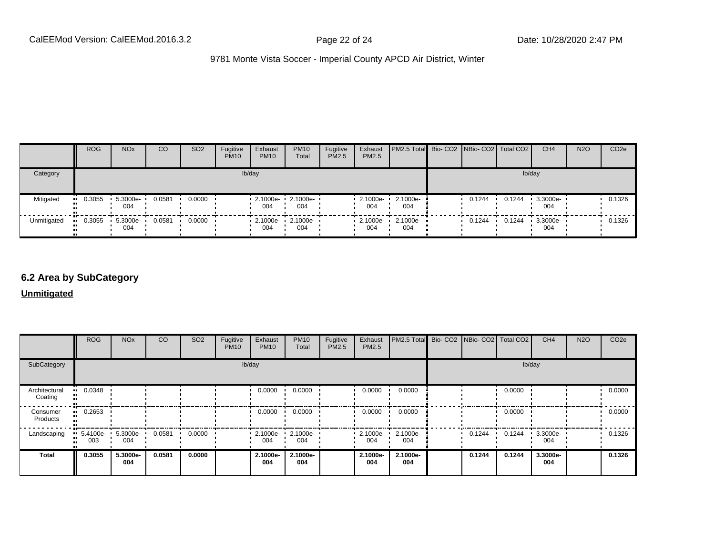|             | <b>ROG</b> | <b>NO<sub>x</sub></b> | CO     | SO <sub>2</sub> | Fugitive<br><b>PM10</b> | Exhaust<br><b>PM10</b>                           | <b>PM10</b><br>Total | Fugitive<br><b>PM2.5</b> | Exhaust<br>PM2.5 | PM2.5 Total Bio- CO2 NBio- CO2   Total CO2 |        |        | CH <sub>4</sub> | <b>N2O</b> | CO <sub>2e</sub> |
|-------------|------------|-----------------------|--------|-----------------|-------------------------|--------------------------------------------------|----------------------|--------------------------|------------------|--------------------------------------------|--------|--------|-----------------|------------|------------------|
| Category    |            |                       |        |                 |                         | lb/day                                           |                      |                          |                  |                                            |        | lb/day |                 |            |                  |
| Mitigated   | 0.3055     | 5.3000e-<br>004       | 0.0581 | 0.0000          |                         | 2.1000e- 1 2.1000e- 1<br>004                     | 004                  |                          | 2.1000e-<br>004  | 2.1000e-<br>004                            | 0.1244 | 0.1244 | 3.3000e-<br>004 |            | 0.1326           |
| Unmitigated | 0.3055     | 5.3000e-<br>004       | 0.0581 | 0.0000          |                         | $\cdot$ 2.1000e- $\cdot$ 2.1000e- $\cdot$<br>004 | 004                  |                          | 2.1000e-<br>004  | 2.1000e-<br>004                            | 0.1244 | 0.1244 | 3.3000e-<br>004 |            | 0.1326           |

#### **6.2 Area by SubCategory**

**Unmitigated**

|                          | <b>ROG</b>      | <b>NO<sub>x</sub></b> | CO     | SO <sub>2</sub> | Fugitive<br><b>PM10</b> | Exhaust<br><b>PM10</b>  | <b>PM10</b><br>Total | Fugitive<br>PM2.5 | Exhaust<br>PM2.5 | PM2.5 Total Bio- CO2 NBio- CO2 Total CO2 |        |        |        | CH <sub>4</sub> | <b>N2O</b> | CO <sub>2</sub> e |
|--------------------------|-----------------|-----------------------|--------|-----------------|-------------------------|-------------------------|----------------------|-------------------|------------------|------------------------------------------|--------|--------|--------|-----------------|------------|-------------------|
| SubCategory              | lb/day          |                       |        |                 |                         |                         |                      |                   |                  |                                          | lb/day |        |        |                 |            |                   |
| Architectural<br>Coating | 0.0348          |                       |        |                 |                         | 0.0000                  | 0.0000               |                   | 0.0000           | 0.0000                                   |        |        | 0.0000 |                 |            | 0.0000            |
| Consumer<br>Products     | 0.2653          |                       |        |                 |                         | 0.0000                  | 0.0000               |                   | 0.0000           | 0.0000                                   |        |        | 0.0000 |                 |            | 0.0000            |
| Landscaping              | 5.4100e-<br>003 | 5.3000e-<br>004       | 0.0581 | 0.0000          |                         | $\cdot$ 2.1000e-<br>004 | 2.1000e-<br>004      |                   | 2.1000e-<br>004  | 2.1000e-<br>004                          |        | 0.1244 | 0.1244 | 3.3000e-<br>004 |            | 0.1326            |
| <b>Total</b>             | 0.3055          | 5.3000e-<br>004       | 0.0581 | 0.0000          |                         | 2.1000e-<br>004         | 2.1000e-<br>004      |                   | 2.1000e-<br>004  | 2.1000e-<br>004                          |        | 0.1244 | 0.1244 | 3.3000e-<br>004 |            | 0.1326            |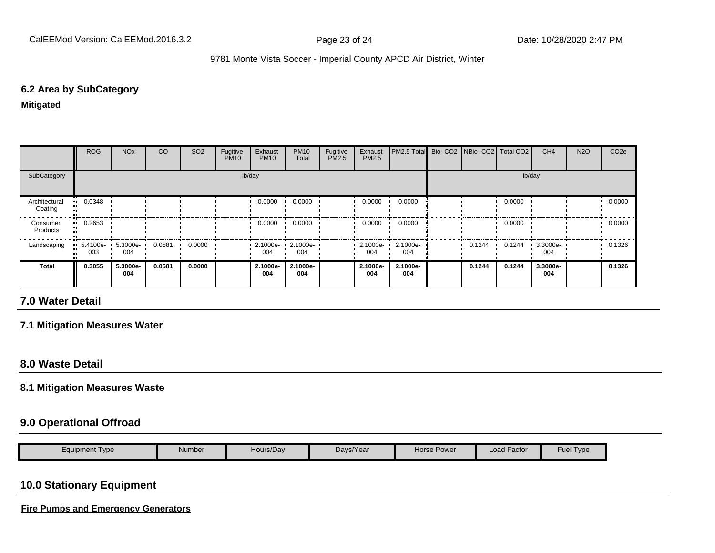#### **6.2 Area by SubCategory**

#### **Mitigated**

|                          | ROG                   | <b>NO<sub>x</sub></b> | CO     | SO <sub>2</sub> | Fugitive<br><b>PM10</b> | Exhaust<br><b>PM10</b>          | <b>PM10</b><br>Total | Fugitive<br><b>PM2.5</b> | Exhaust<br>PM2.5 | PM2.5 Total Bio- CO2 NBio- CO2   Total CO2 |        |        |        | CH <sub>4</sub> | <b>N2O</b> | CO <sub>2e</sub> |  |
|--------------------------|-----------------------|-----------------------|--------|-----------------|-------------------------|---------------------------------|----------------------|--------------------------|------------------|--------------------------------------------|--------|--------|--------|-----------------|------------|------------------|--|
| SubCategory              | lb/day                |                       |        |                 |                         |                                 |                      |                          |                  |                                            | lb/day |        |        |                 |            |                  |  |
| Architectural<br>Coating | $\blacksquare$ 0.0348 |                       |        |                 |                         | 0.0000                          | 0.0000               |                          | 0.0000           | 0.0000                                     |        |        | 0.0000 |                 |            | 0.0000           |  |
| Consumer<br>Products     | $\blacksquare$ 0.2653 |                       |        |                 |                         | 0.0000                          | 0.0000               |                          | 0.0000           | 0.0000                                     |        |        | 0.0000 |                 |            | 0.0000           |  |
| Landscaping              | $-5.4100e-$<br>003    | 5.3000e-<br>004       | 0.0581 | 0.0000          |                         | $\cdot$ 2.1000e- $\cdot$<br>004 | 2.1000e-<br>004      |                          | 2.1000e-<br>004  | 2.1000e-<br>004                            |        | 0.1244 | 0.1244 | 3.3000e-<br>004 |            | 0.1326           |  |
| <b>Total</b>             | 0.3055                | 5.3000e-<br>004       | 0.0581 | 0.0000          |                         | 2.1000e-<br>004                 | 2.1000e-<br>004      |                          | 2.1000e-<br>004  | 2.1000e-<br>004                            |        | 0.1244 | 0.1244 | 3.3000e-<br>004 |            | 0.1326           |  |

## **7.0 Water Detail**

#### **7.1 Mitigation Measures Water**

#### **8.0 Waste Detail**

#### **8.1 Mitigation Measures Waste**

#### **9.0 Operational Offroad**

| $\epsilon$ quipment Type<br>Number | Hours/Day | Days/Year | <b>Horse Power</b> | Load Factor | $-$ uer<br>I vpe |
|------------------------------------|-----------|-----------|--------------------|-------------|------------------|
|------------------------------------|-----------|-----------|--------------------|-------------|------------------|

## **10.0 Stationary Equipment**

**Fire Pumps and Emergency Generators**